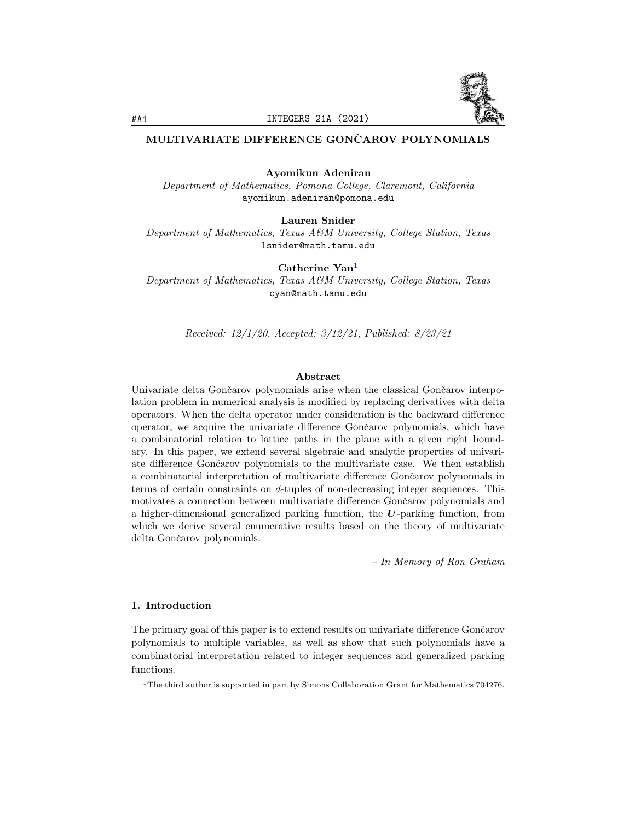

# MULTIVARIATE DIFFERENCE GONCAROV POLYNOMIALS

Ayomikun Adeniran

Department of Mathematics, Pomona College, Claremont, California ayomikun.adeniran@pomona.edu

Lauren Snider

Department of Mathematics, Texas A&M University, College Station, Texas lsnider@math.tamu.edu

Catherine Yan<sup>[1](#page-0-0)</sup>

Department of Mathematics, Texas A&M University, College Station, Texas cyan@math.tamu.edu

Received: 12/1/20, Accepted: 3/12/21, Published: 8/23/21

## Abstract

Univariate delta Gončarov polynomials arise when the classical Gončarov interpolation problem in numerical analysis is modified by replacing derivatives with delta operators. When the delta operator under consideration is the backward difference operator, we acquire the univariate difference Gončarov polynomials, which have a combinatorial relation to lattice paths in the plane with a given right boundary. In this paper, we extend several algebraic and analytic properties of univariate difference Gončarov polynomials to the multivariate case. We then establish a combinatorial interpretation of multivariate difference Gončarov polynomials in terms of certain constraints on d-tuples of non-decreasing integer sequences. This motivates a connection between multivariate difference Gončarov polynomials and a higher-dimensional generalized parking function, the U-parking function, from which we derive several enumerative results based on the theory of multivariate delta Gončarov polynomials.

– In Memory of Ron Graham

## 1. Introduction

The primary goal of this paper is to extend results on univariate difference Gončarov polynomials to multiple variables, as well as show that such polynomials have a combinatorial interpretation related to integer sequences and generalized parking functions.

<span id="page-0-0"></span><sup>&</sup>lt;sup>1</sup>The third author is supported in part by Simons Collaboration Grant for Mathematics 704276.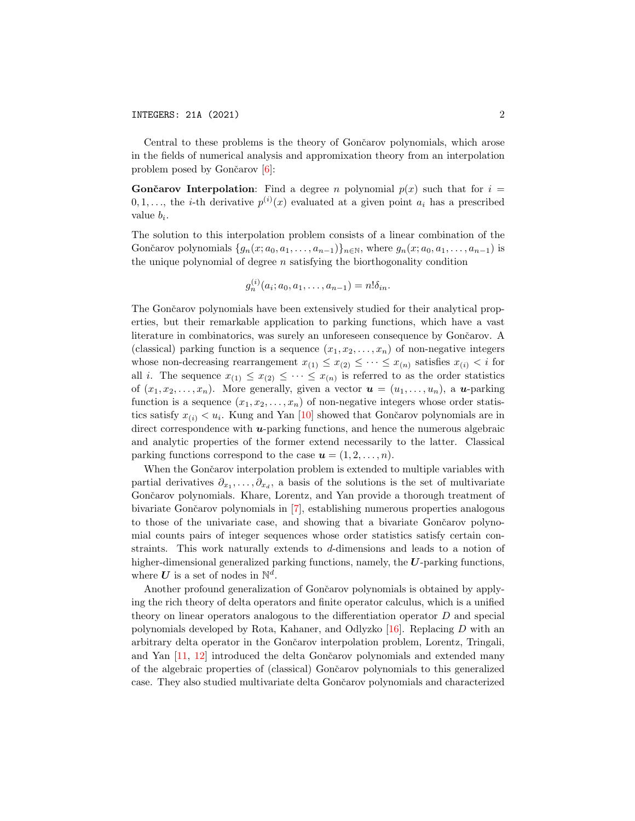Central to these problems is the theory of Gončarov polynomials, which arose in the fields of numerical analysis and appromixation theory from an interpolation problem posed by Gončarov  $[6]$ :

**Gončarov Interpolation:** Find a degree n polynomial  $p(x)$  such that for  $i =$  $0, 1, \ldots$ , the *i*-th derivative  $p^{(i)}(x)$  evaluated at a given point  $a_i$  has a prescribed value  $b_i$ .

The solution to this interpolation problem consists of a linear combination of the Gončarov polynomials  $\{g_n(x; a_0, a_1, \ldots, a_{n-1})\}_{n \in \mathbb{N}}$ , where  $g_n(x; a_0, a_1, \ldots, a_{n-1})$  is the unique polynomial of degree  $n$  satisfying the biorthogonality condition

$$
g_n^{(i)}(a_i; a_0, a_1, \ldots, a_{n-1}) = n! \delta_{in}.
$$

The Gončarov polynomials have been extensively studied for their analytical properties, but their remarkable application to parking functions, which have a vast literature in combinatorics, was surely an unforeseen consequence by Gončarov. A (classical) parking function is a sequence  $(x_1, x_2, \ldots, x_n)$  of non-negative integers whose non-decreasing rearrangement  $x_{(1)} \leq x_{(2)} \leq \cdots \leq x_{(n)}$  satisfies  $x_{(i)} < i$  for all i. The sequence  $x_{(1)} \leq x_{(2)} \leq \cdots \leq x_{(n)}$  is referred to as the order statistics of  $(x_1, x_2, \ldots, x_n)$ . More generally, given a vector  $\mathbf{u} = (u_1, \ldots, u_n)$ , a **u**-parking function is a sequence  $(x_1, x_2, \ldots, x_n)$  of non-negative integers whose order statistics satisfy  $x_{(i)} < u_i$ . Kung and Yan [\[10\]](#page-20-0) showed that Gončarov polynomials are in direct correspondence with  $u$ -parking functions, and hence the numerous algebraic and analytic properties of the former extend necessarily to the latter. Classical parking functions correspond to the case  $u = (1, 2, \ldots, n)$ .

When the Gončarov interpolation problem is extended to multiple variables with partial derivatives  $\partial_{x_1}, \ldots, \partial_{x_d}$ , a basis of the solutions is the set of multivariate Gončarov polynomials. Khare, Lorentz, and Yan provide a thorough treatment of bivariate Gonˇcarov polynomials in [\[7\]](#page-19-1), establishing numerous properties analogous to those of the univariate case, and showing that a bivariate Gončarov polynomial counts pairs of integer sequences whose order statistics satisfy certain constraints. This work naturally extends to d-dimensions and leads to a notion of higher-dimensional generalized parking functions, namely, the  $U$ -parking functions, where  $U$  is a set of nodes in  $\mathbb{N}^d$ .

Another profound generalization of Gončarov polynomials is obtained by applying the rich theory of delta operators and finite operator calculus, which is a unified theory on linear operators analogous to the differentiation operator D and special polynomials developed by Rota, Kahaner, and Odlyzko [\[16\]](#page-20-1). Replacing D with an arbitrary delta operator in the Gončarov interpolation problem, Lorentz, Tringali, and Yan [\[11,](#page-20-2) [12\]](#page-20-3) introduced the delta Gončarov polynomials and extended many of the algebraic properties of (classical) Gonˇcarov polynomials to this generalized case. They also studied multivariate delta Gončarov polynomials and characterized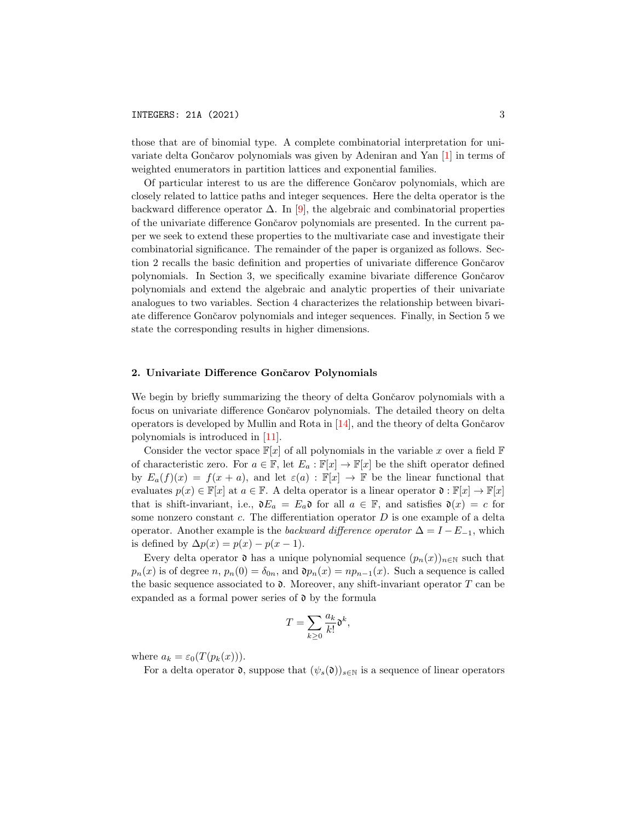those that are of binomial type. A complete combinatorial interpretation for uni-variate delta Gončarov polynomials was given by Adeniran and Yan [\[1\]](#page-19-2) in terms of weighted enumerators in partition lattices and exponential families.

Of particular interest to us are the difference Gončarov polynomials, which are closely related to lattice paths and integer sequences. Here the delta operator is the backward difference operator  $\Delta$ . In [\[9\]](#page-20-4), the algebraic and combinatorial properties of the univariate difference Gončarov polynomials are presented. In the current paper we seek to extend these properties to the multivariate case and investigate their combinatorial significance. The remainder of the paper is organized as follows. Section 2 recalls the basic definition and properties of univariate difference Gončarov polynomials. In Section 3, we specifically examine bivariate difference Gončarov polynomials and extend the algebraic and analytic properties of their univariate analogues to two variables. Section 4 characterizes the relationship between bivariate difference Gonˇcarov polynomials and integer sequences. Finally, in Section 5 we state the corresponding results in higher dimensions.

#### 2. Univariate Difference Gončarov Polynomials

We begin by briefly summarizing the theory of delta Gončarov polynomials with a focus on univariate difference Gončarov polynomials. The detailed theory on delta operators is developed by Mullin and Rota in  $[14]$ , and the theory of delta Gončarov polynomials is introduced in [\[11\]](#page-20-2).

Consider the vector space  $\mathbb{F}[x]$  of all polynomials in the variable x over a field  $\mathbb F$ of characteristic zero. For  $a \in \mathbb{F}$ , let  $E_a : \mathbb{F}[x] \to \mathbb{F}[x]$  be the shift operator defined by  $E_a(f)(x) = f(x+a)$ , and let  $\varepsilon(a) : \mathbb{F}[x] \to \mathbb{F}$  be the linear functional that evaluates  $p(x) \in \mathbb{F}[x]$  at  $a \in \mathbb{F}$ . A delta operator is a linear operator  $\mathfrak{d} : \mathbb{F}[x] \to \mathbb{F}[x]$ that is shift-invariant, i.e.,  $\mathfrak{d}E_a = E_a \mathfrak{d}$  for all  $a \in \mathbb{F}$ , and satisfies  $\mathfrak{d}(x) = c$  for some nonzero constant  $c$ . The differentiation operator  $D$  is one example of a delta operator. Another example is the backward difference operator  $\Delta = I - E_{-1}$ , which is defined by  $\Delta p(x) = p(x) - p(x - 1)$ .

Every delta operator  $\mathfrak d$  has a unique polynomial sequence  $(p_n(x))_{n\in\mathbb N}$  such that  $p_n(x)$  is of degree n,  $p_n(0) = \delta_{0n}$ , and  $p_n(x) = np_{n-1}(x)$ . Such a sequence is called the basic sequence associated to  $\mathfrak d$ . Moreover, any shift-invariant operator T can be expanded as a formal power series of  $\mathfrak d$  by the formula

$$
T = \sum_{k \geq 0} \frac{a_k}{k!} \mathfrak{d}^k,
$$

where  $a_k = \varepsilon_0(T(p_k(x)))$ .

For a delta operator  $\mathfrak{d}$ , suppose that  $(\psi_s(\mathfrak{d}))_{s\in\mathbb{N}}$  is a sequence of linear operators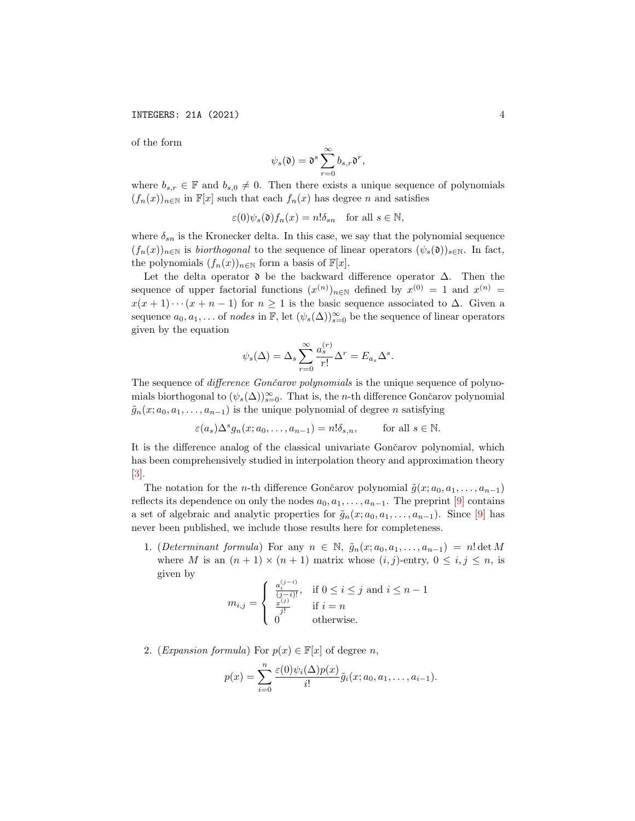of the form

$$
\psi_s(\mathfrak{d})=\mathfrak{d}^s\sum_{r=0}^\infty b_{s,r}\mathfrak{d}^r,
$$

where  $b_{s,r} \in \mathbb{F}$  and  $b_{s,0} \neq 0$ . Then there exists a unique sequence of polynomials  $(f_n(x))_{n\in\mathbb{N}}$  in  $\mathbb{F}[x]$  such that each  $f_n(x)$  has degree n and satisfies

$$
\varepsilon(0)\psi_s(\mathfrak{d})f_n(x) = n!\delta_{sn} \quad \text{for all } s \in \mathbb{N},
$$

where  $\delta_{sn}$  is the Kronecker delta. In this case, we say that the polynomial sequence  $(f_n(x))_{n\in\mathbb{N}}$  is *biorthogonal* to the sequence of linear operators  $(\psi_s(\mathfrak{d}))_{s\in\mathbb{N}}$ . In fact, the polynomials  $(f_n(x))_{n\in\mathbb{N}}$  form a basis of  $\mathbb{F}[x]$ .

Let the delta operator  $\mathfrak d$  be the backward difference operator  $\Delta$ . Then the sequence of upper factorial functions  $(x^{(n)})_{n\in\mathbb{N}}$  defined by  $x^{(0)} = 1$  and  $x^{(n)} =$  $x(x + 1) \cdots (x + n - 1)$  for  $n \ge 1$  is the basic sequence associated to  $\Delta$ . Given a sequence  $a_0, a_1, \ldots$  of nodes in  $\mathbb{F}$ , let  $(\psi_s(\Delta))_{s=0}^{\infty}$  be the sequence of linear operators given by the equation

$$
\psi_s(\Delta) = \Delta_s \sum_{r=0}^{\infty} \frac{a_s^{(r)}}{r!} \Delta^r = E_{a_s} \Delta^s.
$$

The sequence of *difference Gončarov polynomials* is the unique sequence of polynomials biorthogonal to  $(\psi_s(\Delta))_{s=0}^{\infty}$ . That is, the *n*-th difference Gončarov polynomial  $\tilde{g}_n(x; a_0, a_1, \ldots, a_{n-1})$  is the unique polynomial of degree n satisfying

$$
\varepsilon(a_s)\Delta^s g_n(x;a_0,\ldots,a_{n-1})=n!\delta_{s,n}, \qquad \text{for all } s \in \mathbb{N}.
$$

It is the difference analog of the classical univariate Gončarov polynomial, which has been comprehensively studied in interpolation theory and approximation theory  $|3|$ .

The notation for the *n*-th difference Gončarov polynomial  $\tilde{g}(x; a_0, a_1, \ldots, a_{n-1})$ reflects its dependence on only the nodes  $a_0, a_1, \ldots, a_{n-1}$ . The preprint [\[9\]](#page-20-4) contains a set of algebraic and analytic properties for  $\tilde{g}_n(x; a_0, a_1, \ldots, a_{n-1})$ . Since [\[9\]](#page-20-4) has never been published, we include those results here for completeness.

1. (Determinant formula) For any  $n \in \mathbb{N}$ ,  $\tilde{g}_n(x; a_0, a_1, \ldots, a_{n-1}) = n! \det M$ where M is an  $(n + 1) \times (n + 1)$  matrix whose  $(i, j)$ -entry,  $0 \le i, j \le n$ , is given by

$$
m_{i,j} = \begin{cases} \frac{a_i^{(j-i)}}{(j-i)!}, & \text{if } 0 \le i \le j \text{ and } i \le n-1\\ \frac{x^{(j)}}{j!} & \text{if } i = n\\ 0 & \text{otherwise.} \end{cases}
$$

2. (Expansion formula) For  $p(x) \in \mathbb{F}[x]$  of degree n,

$$
p(x) = \sum_{i=0}^n \frac{\varepsilon(0)\psi_i(\Delta)p(x)}{i!} \tilde{g}_i(x; a_0, a_1, \dots, a_{i-1}).
$$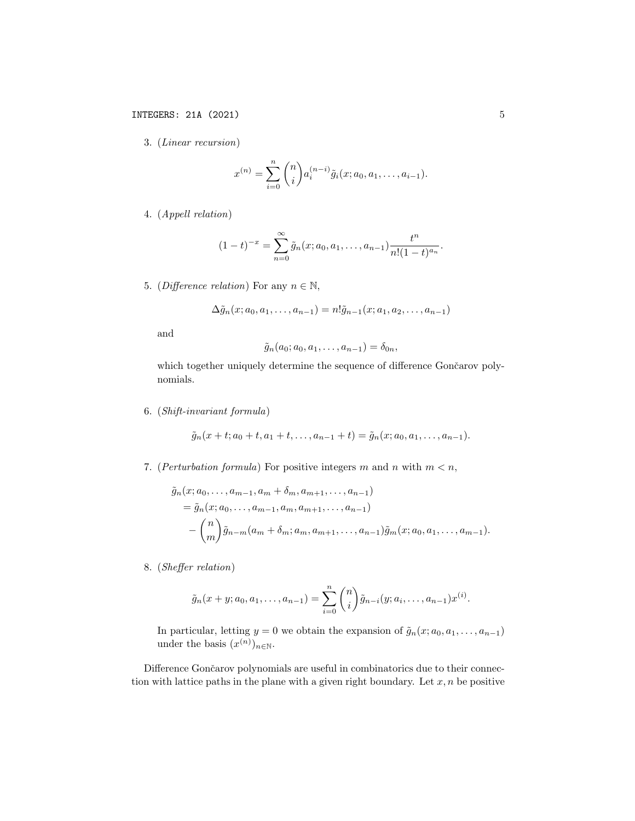3. (Linear recursion)

$$
x^{(n)} = \sum_{i=0}^{n} {n \choose i} a_i^{(n-i)} \tilde{g}_i(x; a_0, a_1, \dots, a_{i-1}).
$$

4. (Appell relation)

$$
(1-t)^{-x} = \sum_{n=0}^{\infty} \tilde{g}_n(x; a_0, a_1, \dots, a_{n-1}) \frac{t^n}{n!(1-t)^{a_n}}.
$$

5. (Difference relation) For any  $n \in \mathbb{N}$ ,

$$
\Delta \tilde{g}_n(x; a_0, a_1, \dots, a_{n-1}) = n! \tilde{g}_{n-1}(x; a_1, a_2, \dots, a_{n-1})
$$

and

$$
\tilde{g}_n(a_0;a_0,a_1,\ldots,a_{n-1})=\delta_{0n},
$$

which together uniquely determine the sequence of difference Gončarov polynomials.

6. (Shift-invariant formula)

$$
\tilde{g}_n(x+t; a_0+t, a_1+t, \dots, a_{n-1}+t) = \tilde{g}_n(x; a_0, a_1, \dots, a_{n-1}).
$$

7. (*Perturbation formula*) For positive integers m and n with  $m < n$ ,

$$
\tilde{g}_n(x; a_0, \dots, a_{m-1}, a_m + \delta_m, a_{m+1}, \dots, a_{n-1})
$$
  
=  $\tilde{g}_n(x; a_0, \dots, a_{m-1}, a_m, a_{m+1}, \dots, a_{n-1})$   
-  $\binom{n}{m} \tilde{g}_{n-m}(a_m + \delta_m; a_m, a_{m+1}, \dots, a_{n-1}) \tilde{g}_m(x; a_0, a_1, \dots, a_{m-1}).$ 

8. (Sheffer relation)

$$
\tilde{g}_n(x+y;a_0,a_1,\ldots,a_{n-1})=\sum_{i=0}^n \binom{n}{i} \tilde{g}_{n-i}(y;a_i,\ldots,a_{n-1})x^{(i)}.
$$

In particular, letting  $y = 0$  we obtain the expansion of  $\tilde{g}_n(x; a_0, a_1, \ldots, a_{n-1})$ under the basis  $(x^{(n)})_{n\in\mathbb{N}}$ .

Difference Gončarov polynomials are useful in combinatorics due to their connection with lattice paths in the plane with a given right boundary. Let  $x, n$  be positive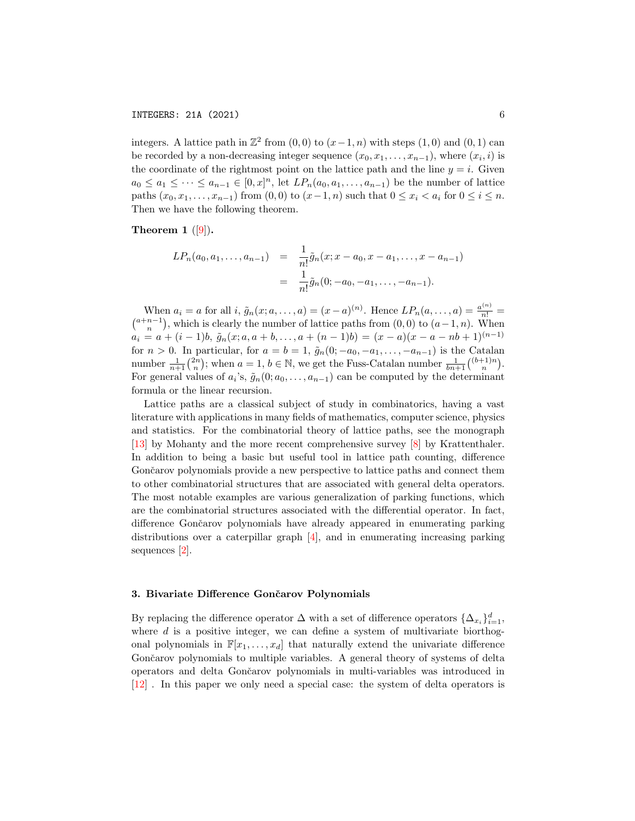integers. A lattice path in  $\mathbb{Z}^2$  from  $(0,0)$  to  $(x-1,n)$  with steps  $(1,0)$  and  $(0,1)$  can be recorded by a non-decreasing integer sequence  $(x_0, x_1, \ldots, x_{n-1})$ , where  $(x_i, i)$  is the coordinate of the rightmost point on the lattice path and the line  $y = i$ . Given  $a_0 \leq a_1 \leq \cdots \leq a_{n-1} \in [0, x]^n$ , let  $LP_n(a_0, a_1, \ldots, a_{n-1})$  be the number of lattice paths  $(x_0, x_1, ..., x_{n-1})$  from  $(0, 0)$  to  $(x-1, n)$  such that  $0 ≤ x_i < a_i$  for  $0 ≤ i ≤ n$ . Then we have the following theorem.

Theorem 1  $([9])$  $([9])$  $([9])$ .

$$
LP_n(a_0, a_1, \dots, a_{n-1}) = \frac{1}{n!} \tilde{g}_n(x; x - a_0, x - a_1, \dots, x - a_{n-1})
$$
  
= 
$$
\frac{1}{n!} \tilde{g}_n(0; -a_0, -a_1, \dots, -a_{n-1}).
$$

When  $a_i = a$  for all  $i, \tilde{g}_n(x; a, \ldots, a) = (x - a)^{(n)}$ . Hence  $LP_n(a, \ldots, a) = \frac{a^{(n)}}{n!}$ When  $a_i = a$  for all  $i$ ,  $\tilde{g}_n(x; a, \ldots, a) = (x - a)^{(n)}$ . Hence  $LP_n(a, \ldots, a) = \frac{a^{(n)}}{n!} = {a+n-1 \choose n}$ , which is clearly the number of lattice paths from  $(0, 0)$  to  $(a-1, n)$ . When  $a_i = a + (i-1)b, \tilde{g}_n(x; a, a+b, \ldots, a + (n-1)b) = (x-a)(x-a-nb+1)^{(n-1)}$ for  $n > 0$ . In particular, for  $a = b = 1$ ,  $\tilde{g}_n(0; -a_0, -a_1, \ldots, -a_{n-1})$  is the Catalan number  $\frac{1}{n+1} {2n \choose n}$ ; when  $a = 1, b \in \mathbb{N}$ , we get the Fuss-Catalan number  $\frac{1}{bn+1} {b+1 \choose n}$ . For general values of  $a_i$ 's,  $\tilde{g}_n(0; a_0, \ldots, a_{n-1})$  can be computed by the determinant formula or the linear recursion.

Lattice paths are a classical subject of study in combinatorics, having a vast literature with applications in many fields of mathematics, computer science, physics and statistics. For the combinatorial theory of lattice paths, see the monograph [\[13\]](#page-20-6) by Mohanty and the more recent comprehensive survey [\[8\]](#page-19-4) by Krattenthaler. In addition to being a basic but useful tool in lattice path counting, difference Gončarov polynomials provide a new perspective to lattice paths and connect them to other combinatorial structures that are associated with general delta operators. The most notable examples are various generalization of parking functions, which are the combinatorial structures associated with the differential operator. In fact, difference Gončarov polynomials have already appeared in enumerating parking distributions over a caterpillar graph [\[4\]](#page-19-5), and in enumerating increasing parking sequences [\[2\]](#page-19-6).

#### 3. Bivariate Difference Gončarov Polynomials

By replacing the difference operator  $\Delta$  with a set of difference operators  $\{\Delta_{x_i}\}_{i=1}^d$ , where  $d$  is a positive integer, we can define a system of multivariate biorthogonal polynomials in  $\mathbb{F}[x_1,\ldots,x_d]$  that naturally extend the univariate difference Gončarov polynomials to multiple variables. A general theory of systems of delta operators and delta Gonˇcarov polynomials in multi-variables was introduced in [\[12\]](#page-20-3) . In this paper we only need a special case: the system of delta operators is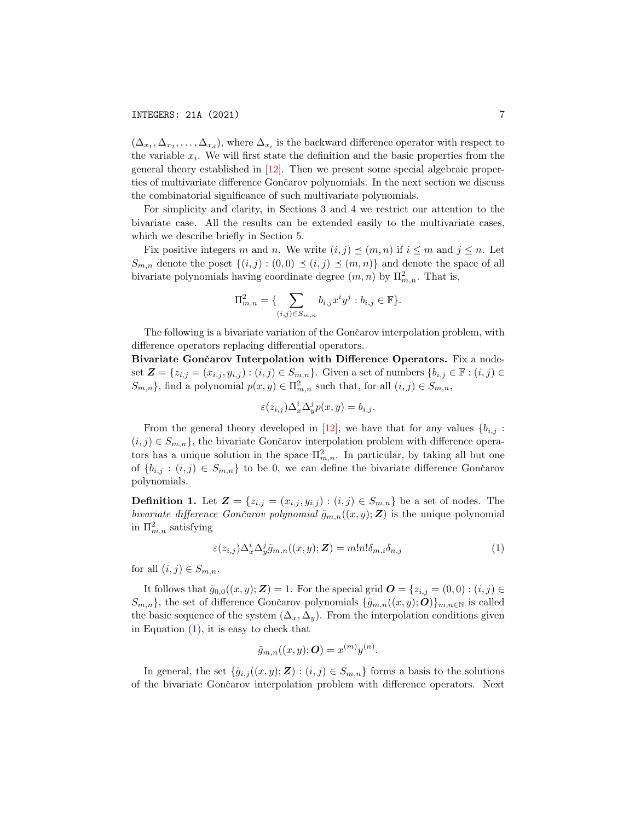$(\Delta_{x_1}, \Delta_{x_2}, \ldots, \Delta_{x_d})$ , where  $\Delta_{x_i}$  is the backward difference operator with respect to the variable  $x_i$ . We will first state the definition and the basic properties from the general theory established in [\[12\]](#page-20-3). Then we present some special algebraic properties of multivariate difference Gončarov polynomials. In the next section we discuss the combinatorial significance of such multivariate polynomials.

For simplicity and clarity, in Sections 3 and 4 we restrict our attention to the bivariate case. All the results can be extended easily to the multivariate cases, which we describe briefly in Section 5.

Fix positive integers m and n. We write  $(i, j) \preceq (m, n)$  if  $i \leq m$  and  $j \leq n$ . Let  $S_{m,n}$  denote the poset  $\{(i,j): (0,0) \preceq (i,j) \preceq (m,n)\}$  and denote the space of all bivariate polynomials having coordinate degree  $(m, n)$  by  $\prod_{m,n}^2$ . That is,

$$
\Pi_{m,n}^2 = \{ \sum_{(i,j)\in S_{m,n}} b_{i,j} x^i y^j : b_{i,j} \in \mathbb{F} \}.
$$

The following is a bivariate variation of the Gončarov interpolation problem, with difference operators replacing differential operators.

Bivariate Gončarov Interpolation with Difference Operators. Fix a nodeset  $\mathbf{Z} = \{z_{i,j} = (x_{i,j}, y_{i,j}) : (i,j) \in S_{m,n}\}.$  Given a set of numbers  $\{b_{i,j} \in \mathbb{F} : (i,j) \in S_{m,n}\}.$  $\{S_{m,n}\}\$ , find a polynomial  $p(x, y) \in \Pi_{m,n}^2$  such that, for all  $(i, j) \in S_{m,n}$ ,

$$
\varepsilon(z_{i,j})\Delta_x^i\Delta_y^j p(x,y) = b_{i,j}.
$$

From the general theory developed in [\[12\]](#page-20-3), we have that for any values  ${b_{i,j}}$ :  $(i, j) \in S_{m,n}$ , the bivariate Gončarov interpolation problem with difference operators has a unique solution in the space  $\prod_{m,n}^2$ . In particular, by taking all but one of  $\{b_{i,j} : (i,j) \in S_{m,n}\}\)$  to be 0, we can define the bivariate difference Gončarov polynomials.

**Definition 1.** Let  $Z = \{z_{i,j} = (x_{i,j}, y_{i,j}) : (i,j) \in S_{m,n}\}\)$  be a set of nodes. The bivariate difference Gončarov polynomial  $\tilde{g}_{m,n}((x,y); \mathbf{Z})$  is the unique polynomial in  $\Pi_{m,n}^2$  satisfying

<span id="page-6-0"></span>
$$
\varepsilon(z_{i,j})\Delta_x^i \Delta_y^j \tilde{g}_{m,n}((x,y);\mathbf{Z}) = m!n! \delta_{m,i} \delta_{n,j} \tag{1}
$$

for all  $(i, j) \in S_{m,n}$ .

It follows that  $\tilde{g}_{0,0}((x,y); \mathbf{Z}) = 1$ . For the special grid  $\mathbf{O} = \{z_{i,j} = (0,0) : (i,j) \in \mathbf{Z}\}$  $S_{m,n}$ , the set of difference Gončarov polynomials  $\{\tilde{g}_{m,n}((x,y);O)\}_{m,n\in\mathbb{N}}$  is called the basic sequence of the system  $(\Delta_x, \Delta_y)$ . From the interpolation conditions given in Equation  $(1)$ , it is easy to check that

$$
\tilde{g}_{m,n}((x,y);\boldsymbol{O})=x^{(m)}y^{(n)}.
$$

In general, the set  $\{\tilde{g}_{i,j}((x,y);\mathbf{Z}) : (i,j) \in S_{m,n}\}\)$  forms a basis to the solutions of the bivariate Gončarov interpolation problem with difference operators. Next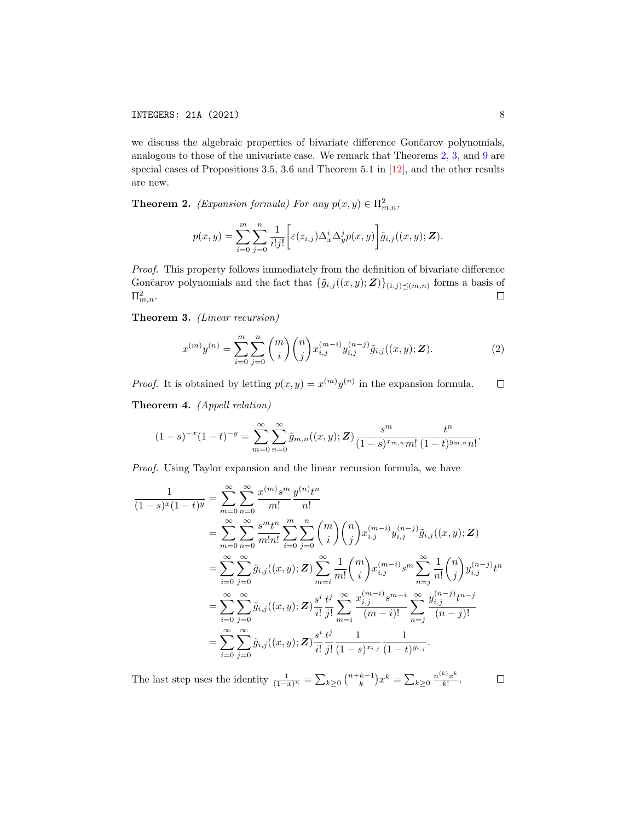we discuss the algebraic properties of bivariate difference Gončarov polynomials, analogous to those of the univariate case. We remark that Theorems [2,](#page-7-0) [3,](#page-7-1) and [9](#page-10-0) are special cases of Propositions 3.5, 3.6 and Theorem 5.1 in [\[12\]](#page-20-3), and the other results are new.

<span id="page-7-0"></span>**Theorem 2.** (Expansion formula) For any  $p(x, y) \in \Pi_{m,n}^2$ ,

$$
p(x,y) = \sum_{i=0}^{m} \sum_{j=0}^{n} \frac{1}{i!j!} \left[ \varepsilon(z_{i,j}) \Delta_x^i \Delta_y^j p(x,y) \right] \tilde{g}_{i,j}((x,y); \mathbf{Z}).
$$

Proof. This property follows immediately from the definition of bivariate difference Gončarov polynomials and the fact that  $\{\tilde{g}_{i,j}((x,y);\mathbf{Z})\}_{(i,j)\preceq(m,n)}$  forms a basis of  $\Pi^2_{m,n}$ .  $\Box$ 

<span id="page-7-1"></span>Theorem 3. (Linear recursion)

<span id="page-7-2"></span>
$$
x^{(m)}y^{(n)} = \sum_{i=0}^{m} \sum_{j=0}^{n} {m \choose i} {n \choose j} x_{i,j}^{(m-i)} y_{i,j}^{(n-j)} \tilde{g}_{i,j}((x,y); \mathbf{Z}).
$$
 (2)

*Proof.* It is obtained by letting  $p(x, y) = x^{(m)}y^{(n)}$  in the expansion formula.  $\Box$ 

Theorem 4. (Appell relation)

$$
(1-s)^{-x}(1-t)^{-y} = \sum_{m=0}^{\infty} \sum_{n=0}^{\infty} \tilde{g}_{m,n}((x,y); \mathbf{Z}) \frac{s^m}{(1-s)^{x_{m,n}}m!} \frac{t^n}{(1-t)^{y_{m,n}}n!}.
$$

Proof. Using Taylor expansion and the linear recursion formula, we have

$$
\frac{1}{(1-s)^{x}(1-t)^{y}} = \sum_{m=0}^{\infty} \sum_{n=0}^{\infty} \frac{x^{(m)}s^{m}}{m!} \frac{y^{(n)}t^{n}}{n!}
$$
\n
$$
= \sum_{m=0}^{\infty} \sum_{n=0}^{\infty} \frac{s^{m}t^{n}}{m!n!} \sum_{i=0}^{m} \sum_{j=0}^{n} {m \choose i} {n \choose j} x^{(m-i)}_{i,j} y^{(n-j)}_{i,j} \tilde{g}_{i,j}((x,y); \mathbf{Z})
$$
\n
$$
= \sum_{i=0}^{\infty} \sum_{j=0}^{\infty} \tilde{g}_{i,j}((x,y); \mathbf{Z}) \sum_{m=i}^{\infty} \frac{1}{m!} {m \choose i} x^{(m-i)}_{i,j} s^{m} \sum_{n=j}^{\infty} \frac{1}{n!} {n \choose j} y^{(n-j)}_{i,j} t^{n}
$$
\n
$$
= \sum_{i=0}^{\infty} \sum_{j=0}^{\infty} \tilde{g}_{i,j}((x,y); \mathbf{Z}) \frac{s^{i}}{i!} \frac{t^{j}}{j!} \sum_{m=i}^{\infty} \frac{x^{(m-i)}_{i,j} s^{m-i}}{(m-i)!} \sum_{n=j}^{\infty} \frac{y^{(n-j)}_{i,j} t^{n-j}}{(n-j)!}
$$
\n
$$
= \sum_{i=0}^{\infty} \sum_{j=0}^{\infty} \tilde{g}_{i,j}((x,y); \mathbf{Z}) \frac{s^{i}}{i!} \frac{t^{j}}{j!} \frac{1}{(1-s)^{x_{i,j}}} \frac{1}{(1-t)^{y_{i,j}}}.
$$

The last step uses the identity  $\frac{1}{(1-x)^n} = \sum_{k\geq 0} {n+k-1 \choose k} x^k = \sum_{k\geq 0} \frac{n^{(k)}x^k}{k!}$  $\Box$  $\frac{f''(x)}{k!}$ .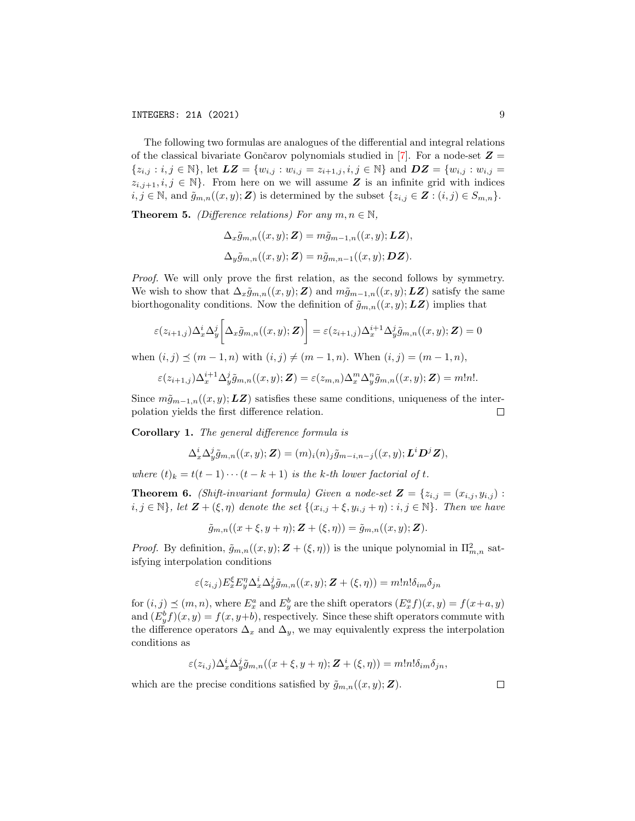The following two formulas are analogues of the differential and integral relations of the classical bivariate Gončarov polynomials studied in [\[7\]](#page-19-1). For a node-set  $\mathbf{Z} =$  $\{z_{i,j} : i,j \in \mathbb{N}\},\$ let  $\boldsymbol{LZ} = \{w_{i,j} : w_{i,j} = z_{i+1,j}, i,j \in \mathbb{N}\}\$  and  $\boldsymbol{DZ} = \{w_{i,j} : w_{i,j} = z_{i+1,j}, i,j \in \mathbb{N}\}\$  $z_{i,j+1}, i,j \in \mathbb{N}$ . From here on we will assume Z is an infinite grid with indices  $i, j \in \mathbb{N}$ , and  $\tilde{g}_{m,n}((x, y); \mathbf{Z})$  is determined by the subset  $\{z_{i,j} \in \mathbf{Z} : (i,j) \in S_{m,n}\}.$ 

**Theorem 5.** (Difference relations) For any  $m, n \in \mathbb{N}$ ,

$$
\Delta_x \tilde{g}_{m,n}((x,y); \mathbf{Z}) = m\tilde{g}_{m-1,n}((x,y); \mathbf{LZ}),
$$
  

$$
\Delta_y \tilde{g}_{m,n}((x,y); \mathbf{Z}) = n\tilde{g}_{m,n-1}((x,y); \mathbf{DZ}).
$$

Proof. We will only prove the first relation, as the second follows by symmetry. We wish to show that  $\Delta_x \tilde{g}_{m,n}((x,y); \mathbf{Z})$  and  $m\tilde{g}_{m-1,n}((x,y); \mathbf{LZ})$  satisfy the same biorthogonality conditions. Now the definition of  $\tilde{g}_{m,n}((x,y); L\mathbf{Z})$  implies that

$$
\varepsilon(z_{i+1,j})\Delta_x^i\Delta_y^j\bigg[\Delta_x\tilde{g}_{m,n}((x,y);\boldsymbol{Z})\bigg]=\varepsilon(z_{i+1,j})\Delta_x^{i+1}\Delta_y^j\tilde{g}_{m,n}((x,y);\boldsymbol{Z})=0
$$

when  $(i, j) \preceq (m - 1, n)$  with  $(i, j) \neq (m - 1, n)$ . When  $(i, j) = (m - 1, n)$ ,

$$
\varepsilon(z_{i+1,j})\Delta_x^{i+1}\Delta_y^j\tilde{g}_{m,n}((x,y);\mathbf{Z})=\varepsilon(z_{m,n})\Delta_x^m\Delta_y^n\tilde{g}_{m,n}((x,y);\mathbf{Z})=m!n!.
$$

Since  $m\tilde{g}_{m-1,n}((x,y); L\mathbf{Z})$  satisfies these same conditions, uniqueness of the interpolation yields the first difference relation.  $\Box$ 

Corollary 1. The general difference formula is

$$
\Delta_x^i \Delta_y^j \tilde{g}_{m,n}((x,y);\mathbf{Z}) = (m)_i(n)_j \tilde{g}_{m-i,n-j}((x,y);\mathbf{L}^i \mathbf{D}^j \mathbf{Z}),
$$

where  $(t)_k = t(t-1)\cdots(t-k+1)$  is the k-th lower factorial of t.

<span id="page-8-0"></span>**Theorem 6.** (Shift-invariant formula) Given a node-set  $\mathbf{Z} = \{z_{i,j} = (x_{i,j}, y_{i,j})\}$ :  $i, j \in \mathbb{N}$ , let  $\mathbf{Z} + (\xi, \eta)$  denote the set  $\{(x_{i,j} + \xi, y_{i,j} + \eta) : i, j \in \mathbb{N}\}\)$ . Then we have

 $\tilde{g}_{m,n}((x + \xi, y + \eta); \mathbf{Z} + (\xi, \eta)) = \tilde{g}_{m,n}((x, y); \mathbf{Z}).$ 

*Proof.* By definition,  $\tilde{g}_{m,n}((x,y); \mathbf{Z} + (\xi, \eta))$  is the unique polynomial in  $\prod_{m,n}^2$  satisfying interpolation conditions

$$
\varepsilon(z_{i,j})E_x^{\xi}E_y^{\eta}\Delta_x^i\Delta_y^j\tilde{g}_{m,n}((x,y);\boldsymbol{Z}+(\xi,\eta))=m!n!\delta_{im}\delta_{jn}
$$

for  $(i, j) \preceq (m, n)$ , where  $E_x^a$  and  $E_y^b$  are the shift operators  $(E_x^a f)(x, y) = f(x+a, y)$ and  $(E_y^b f)(x, y) = f(x, y+b)$ , respectively. Since these shift operators commute with the difference operators  $\Delta_x$  and  $\Delta_y$ , we may equivalently express the interpolation conditions as

$$
\varepsilon(z_{i,j})\Delta_x^i\Delta_y^j\tilde{g}_{m,n}((x+\xi,y+\eta);\boldsymbol{Z}+(\xi,\eta))=m!n!\delta_{im}\delta_{jn},
$$

which are the precise conditions satisfied by  $\tilde{g}_{m,n}((x,y); \mathbf{Z})$ .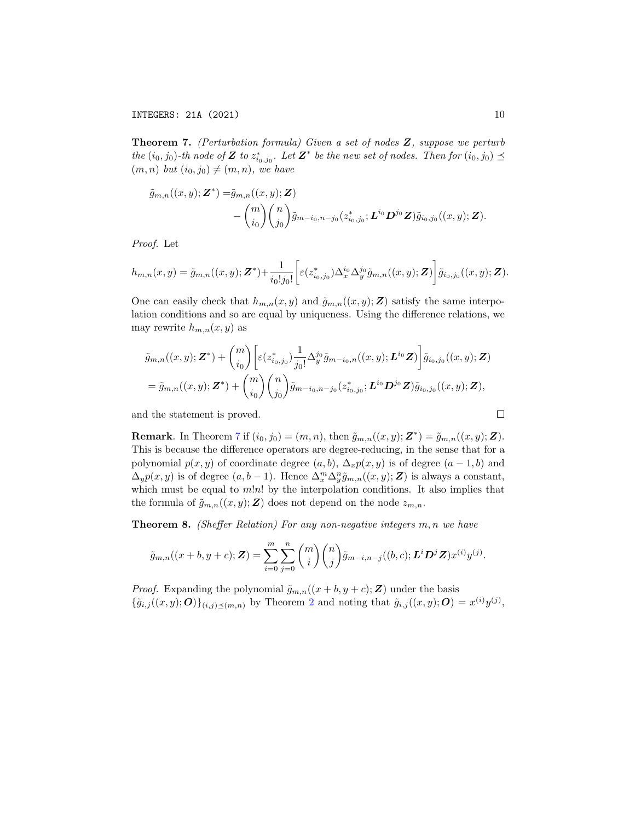<span id="page-9-0"></span>Theorem 7. (Perturbation formula) Given a set of nodes Z, suppose we perturb the  $(i_0, j_0)$ -th node of Z to  $z_{i_0, j_0}^*$ . Let  $\mathbf{Z}^*$  be the new set of nodes. Then for  $(i_0, j_0) \preceq$  $(m, n)$  but  $(i_0, j_0) \neq (m, n)$ , we have

$$
\tilde{g}_{m,n}((x,y);\mathbf{Z}^*) = \tilde{g}_{m,n}((x,y);\mathbf{Z}) \n- \binom{m}{i_0} \binom{n}{j_0} \tilde{g}_{m-i_0,n-j_0}(z_{i_0,j_0}^*;\mathbf{L}^{i_0} \mathbf{D}^{j_0} \mathbf{Z}) \tilde{g}_{i_0,j_0}((x,y);\mathbf{Z}).
$$

Proof. Let

$$
h_{m,n}(x,y) = \tilde{g}_{m,n}((x,y); \mathbf{Z}^*) + \frac{1}{i_0!j_0!} \left[ \varepsilon(z_{i_0,j_0}^*) \Delta_x^{i_0} \Delta_y^{j_0} \tilde{g}_{m,n}((x,y); \mathbf{Z}) \right] \tilde{g}_{i_0,j_0}((x,y); \mathbf{Z}).
$$

One can easily check that  $h_{m,n}(x, y)$  and  $\tilde{g}_{m,n}((x, y); \mathbf{Z})$  satisfy the same interpolation conditions and so are equal by uniqueness. Using the difference relations, we may rewrite  $h_{m,n}(x, y)$  as

$$
\tilde{g}_{m,n}((x,y); \mathbf{Z}^*) + {m \choose i_0} \left[ \varepsilon(z_{i_0,j_0}^*) \frac{1}{j_0!} \Delta_y^{j_0} \tilde{g}_{m-i_0,n}((x,y); \mathbf{L}^{i_0} \mathbf{Z}) \right] \tilde{g}_{i_0,j_0}((x,y); \mathbf{Z}) \n= \tilde{g}_{m,n}((x,y); \mathbf{Z}^*) + {m \choose i_0} {n \choose j_0} \tilde{g}_{m-i_0,n-j_0}(z_{i_0,j_0}^*; \mathbf{L}^{i_0} \mathbf{D}^{j_0} \mathbf{Z}) \tilde{g}_{i_0,j_0}((x,y); \mathbf{Z}),
$$

and the statement is proved.

**Remark**. In Theorem 7 if 
$$
(i_0, j_0) = (m, n)
$$
, then  $\tilde{g}_{m,n}((x, y); \mathbf{Z}^*) = \tilde{g}_{m,n}((x, y); \mathbf{Z})$ .  
This is because the difference operators are degree-reducing, in the sense that for a polynomial  $p(x, y)$  of coordinate degree  $(a, b)$ ,  $\Delta_x p(x, y)$  is of degree  $(a - 1, b)$  and  $\Delta_y p(x, y)$  is of degree  $(a, b - 1)$ . Hence  $\Delta_x^m \Delta_y^n \tilde{g}_{m,n}((x, y); \mathbf{Z})$  is always a constant, which must be equal to  $m!n!$  by the interpolation conditions. It also implies that the formula of  $\tilde{g}_{m,n}((x, y); \mathbf{Z})$  does not depend on the node  $z_{m,n}$ .

**Theorem 8.** (Sheffer Relation) For any non-negative integers  $m, n$  we have

$$
\tilde{g}_{m,n}((x+b,y+c); \mathbf{Z}) = \sum_{i=0}^{m} \sum_{j=0}^{n} {m \choose i} {n \choose j} \tilde{g}_{m-i,n-j}((b,c); \mathbf{L}^i \mathbf{D}^j \mathbf{Z}) x^{(i)} y^{(j)}.
$$

*Proof.* Expanding the polynomial  $\tilde{g}_{m,n}((x + b, y + c); \mathbf{Z})$  under the basis  $\{\tilde{g}_{i,j}((x,y);O)\}_{(i,j)\preceq(m,n)}$  by Theorem [2](#page-7-0) and noting that  $\tilde{g}_{i,j}((x,y);O) = x^{(i)}y^{(j)}$ ,

$$
\qquad \qquad \Box
$$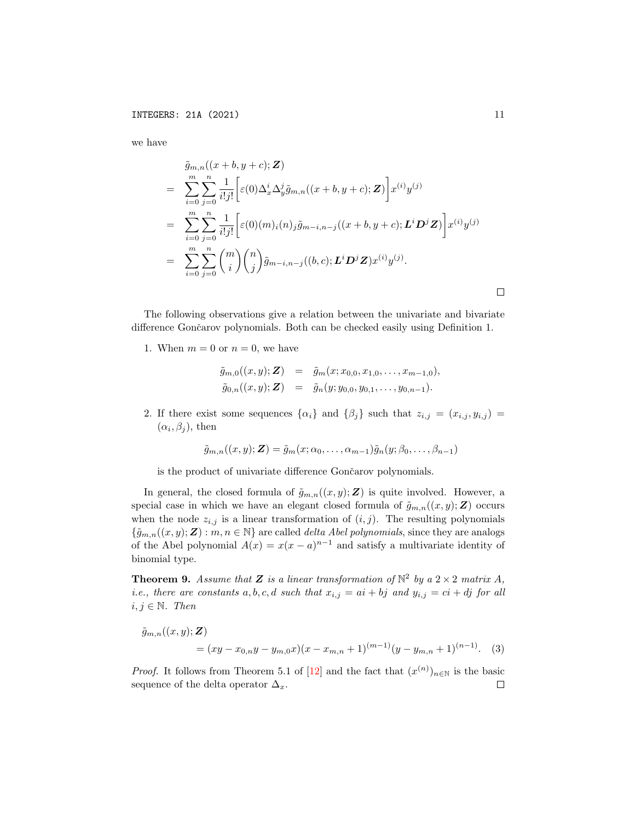we have

$$
\tilde{g}_{m,n}((x + b, y + c); \mathbf{Z})
$$
\n
$$
= \sum_{i=0}^{m} \sum_{j=0}^{n} \frac{1}{i!j!} \left[ \varepsilon(0) \Delta_x^i \Delta_y^j \tilde{g}_{m,n}((x + b, y + c); \mathbf{Z}) \right] x^{(i)} y^{(j)}
$$
\n
$$
= \sum_{i=0}^{m} \sum_{j=0}^{n} \frac{1}{i!j!} \left[ \varepsilon(0)(m)_i (n)_j \tilde{g}_{m-i,n-j}((x + b, y + c); \mathbf{L}^i \mathbf{D}^j \mathbf{Z}) \right] x^{(i)} y^{(j)}
$$
\n
$$
= \sum_{i=0}^{m} \sum_{j=0}^{n} {m \choose i} {n \choose j} \tilde{g}_{m-i,n-j}((b, c); \mathbf{L}^i \mathbf{D}^j \mathbf{Z}) x^{(i)} y^{(j)}.
$$

The following observations give a relation between the univariate and bivariate difference Gončarov polynomials. Both can be checked easily using Definition 1.

1. When  $m = 0$  or  $n = 0$ , we have

$$
\tilde{g}_{m,0}((x,y);\mathbf{Z}) = \tilde{g}_m(x;x_{0,0},x_{1,0},\ldots,x_{m-1,0}),
$$
  
\n
$$
\tilde{g}_{0,n}((x,y);\mathbf{Z}) = \tilde{g}_n(y;y_{0,0},y_{0,1},\ldots,y_{0,n-1}).
$$

2. If there exist some sequences  $\{\alpha_i\}$  and  $\{\beta_j\}$  such that  $z_{i,j} = (x_{i,j}, y_{i,j}) =$  $(\alpha_i, \beta_j)$ , then

<span id="page-10-1"></span>
$$
\tilde{g}_{m,n}((x,y); \mathbf{Z}) = \tilde{g}_m(x; \alpha_0, \dots, \alpha_{m-1})\tilde{g}_n(y; \beta_0, \dots, \beta_{n-1})
$$

is the product of univariate difference Gončarov polynomials.

In general, the closed formula of  $\tilde{g}_{m,n}((x,y); \mathbf{Z})$  is quite involved. However, a special case in which we have an elegant closed formula of  $\tilde{g}_{m,n}((x,y); \mathbf{Z})$  occurs when the node  $z_{i,j}$  is a linear transformation of  $(i, j)$ . The resulting polynomials  ${\{\tilde{g}_{m,n}((x,y);\boldsymbol{Z}) : m,n \in \mathbb{N}\}\$ are called *delta Abel polynomials*, since they are analogs of the Abel polynomial  $A(x) = x(x-a)^{n-1}$  and satisfy a multivariate identity of binomial type.

<span id="page-10-0"></span>**Theorem 9.** Assume that **Z** is a linear transformation of  $\mathbb{N}^2$  by a  $2 \times 2$  matrix A, *i.e., there are constants*  $a, b, c, d$  such that  $x_{i,j} = ai + bj$  and  $y_{i,j} = ci + dj$  for all  $i, j \in \mathbb{N}$ . Then

$$
\tilde{g}_{m,n}((x,y);\mathbf{Z}) = (xy - x_{0,n}y - y_{m,0}x)(x - x_{m,n} + 1)^{(m-1)}(y - y_{m,n} + 1)^{(n-1)}.
$$
 (3)

*Proof.* It follows from Theorem 5.1 of [\[12\]](#page-20-3) and the fact that  $(x^{(n)})_{n\in\mathbb{N}}$  is the basic sequence of the delta operator  $\Delta_x$ .  $\Box$ 

 $\Box$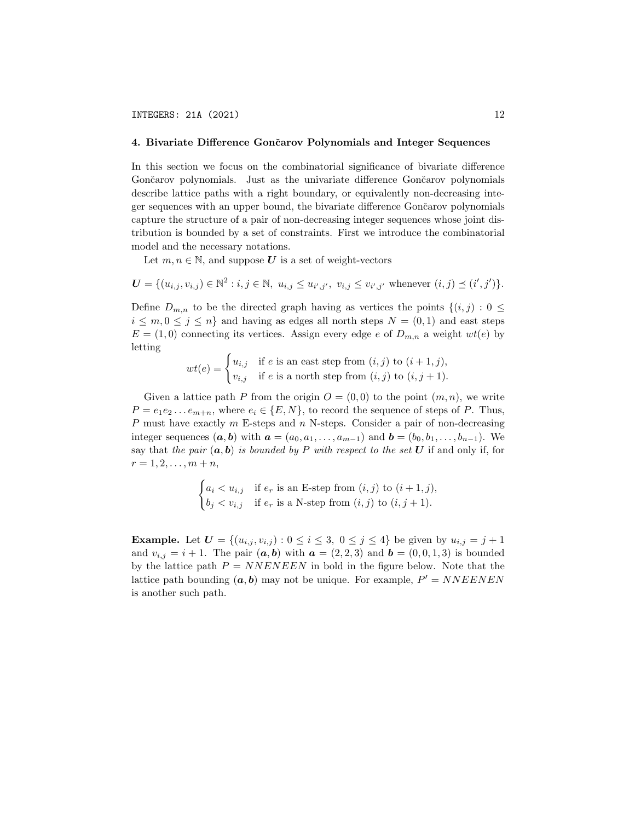## 4. Bivariate Difference Gončarov Polynomials and Integer Sequences

In this section we focus on the combinatorial significance of bivariate difference Gončarov polynomials. Just as the univariate difference Gončarov polynomials describe lattice paths with a right boundary, or equivalently non-decreasing integer sequences with an upper bound, the bivariate difference Gončarov polynomials capture the structure of a pair of non-decreasing integer sequences whose joint distribution is bounded by a set of constraints. First we introduce the combinatorial model and the necessary notations.

Let  $m, n \in \mathbb{N}$ , and suppose U is a set of weight-vectors

$$
\mathbf{U} = \{ (u_{i,j}, v_{i,j}) \in \mathbb{N}^2 : i, j \in \mathbb{N}, u_{i,j} \leq u_{i',j'}, v_{i,j} \leq v_{i',j'} \text{ whenever } (i,j) \leq (i',j') \}.
$$

Define  $D_{m,n}$  to be the directed graph having as vertices the points  $\{(i,j): 0 \leq j \leq n\}$  $i \leq m, 0 \leq j \leq n$  and having as edges all north steps  $N = (0, 1)$  and east steps  $E = (1,0)$  connecting its vertices. Assign every edge e of  $D_{m,n}$  a weight  $wt(e)$  by letting

$$
wt(e) = \begin{cases} u_{i,j} & \text{if } e \text{ is an east step from } (i,j) \text{ to } (i+1,j), \\ v_{i,j} & \text{if } e \text{ is a north step from } (i,j) \text{ to } (i,j+1). \end{cases}
$$

Given a lattice path P from the origin  $O = (0,0)$  to the point  $(m, n)$ , we write  $P = e_1e_2...e_{m+n}$ , where  $e_i \in \{E, N\}$ , to record the sequence of steps of P. Thus, P must have exactly  $m$  E-steps and  $n$  N-steps. Consider a pair of non-decreasing integer sequences  $(a, b)$  with  $a = (a_0, a_1, \ldots, a_{m-1})$  and  $b = (b_0, b_1, \ldots, b_{n-1})$ . We say that the pair  $(a, b)$  is bounded by P with respect to the set U if and only if, for  $r = 1, 2, \ldots, m + n$ ,

$$
\begin{cases} a_i < u_{i,j} \quad \text{if } e_r \text{ is an E-step from } (i,j) \text{ to } (i+1,j), \\ b_j < v_{i,j} \quad \text{if } e_r \text{ is a N-step from } (i,j) \text{ to } (i,j+1). \end{cases}
$$

**Example.** Let  $U = \{(u_{i,j}, v_{i,j}) : 0 \le i \le 3, 0 \le j \le 4\}$  be given by  $u_{i,j} = j + 1$ and  $v_{i,j} = i + 1$ . The pair  $(a, b)$  with  $a = (2, 2, 3)$  and  $b = (0, 0, 1, 3)$  is bounded by the lattice path  $P = NNEN EEN$  in bold in the figure below. Note that the lattice path bounding  $(a, b)$  may not be unique. For example,  $P' = NNEENEN$ is another such path.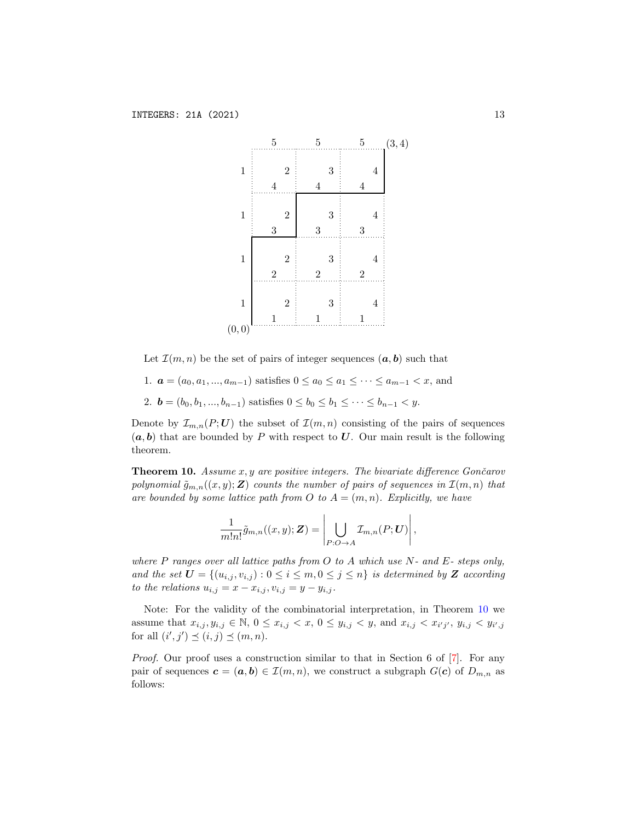

Let  $\mathcal{I}(m,n)$  be the set of pairs of integer sequences  $(a, b)$  such that

- 1.  $a = (a_0, a_1, ..., a_{m-1})$  satisfies  $0 \le a_0 \le a_1 \le ... \le a_{m-1} < x$ , and
- 2.  $\mathbf{b} = (b_0, b_1, ..., b_{n-1})$  satisfies  $0 \leq b_0 \leq b_1 \leq \cdots \leq b_{n-1} < y$ .

Denote by  $\mathcal{I}_{m,n}(P;U)$  the subset of  $\mathcal{I}(m,n)$  consisting of the pairs of sequences  $(a, b)$  that are bounded by P with respect to U. Our main result is the following theorem.

<span id="page-12-0"></span>**Theorem 10.** Assume  $x, y$  are positive integers. The bivariate difference Gončarov polynomial  $\tilde{g}_{m,n}((x,y); \mathbf{Z})$  counts the number of pairs of sequences in  $\mathcal{I}(m,n)$  that are bounded by some lattice path from O to  $A = (m, n)$ . Explicitly, we have

$$
\frac{1}{m!n!}\tilde{g}_{m,n}((x,y);\mathbf{Z})=\left|\bigcup_{P:O\to A}\mathcal{I}_{m,n}(P;\mathbf{U})\right|,
$$

where P ranges over all lattice paths from O to A which use  $N$ - and  $E$ - steps only, and the set  $\mathbf{U} = \{(u_{i,j}, v_{i,j}) : 0 \leq i \leq m, 0 \leq j \leq n\}$  is determined by  $\mathbf{Z}$  according to the relations  $u_{i,j} = x - x_{i,j}, v_{i,j} = y - y_{i,j}$ .

Note: For the validity of the combinatorial interpretation, in Theorem [10](#page-12-0) we assume that  $x_{i,j}, y_{i,j} \in \mathbb{N}$ ,  $0 \le x_{i,j} < x$ ,  $0 \le y_{i,j} < y$ , and  $x_{i,j} < x_{i'j'}$ ,  $y_{i,j} < y_{i',j}$ for all  $(i', j') \preceq (i, j) \preceq (m, n)$ .

*Proof.* Our proof uses a construction similar to that in Section 6 of  $[7]$ . For any pair of sequences  $\mathbf{c} = (\mathbf{a}, \mathbf{b}) \in \mathcal{I}(m, n)$ , we construct a subgraph  $G(\mathbf{c})$  of  $D_{m,n}$  as follows: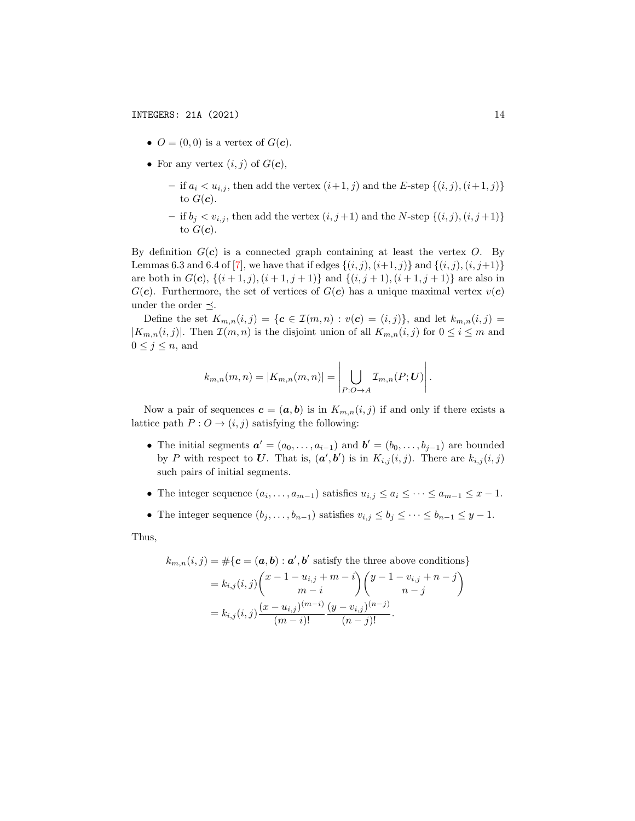- $O = (0, 0)$  is a vertex of  $G(c)$ .
- For any vertex  $(i, j)$  of  $G(c)$ ,
	- if  $a_i < u_{i,j}$ , then add the vertex  $(i+1, j)$  and the E-step  $\{(i, j), (i+1, j)\}$ to  $G(\boldsymbol{c})$ .
	- if  $b_j < v_{i,j}$ , then add the vertex  $(i, j+1)$  and the N-step  $\{(i, j), (i, j+1)\}$ to  $G(\boldsymbol{c})$ .

By definition  $G(c)$  is a connected graph containing at least the vertex O. By Lemmas 6.3 and 6.4 of [\[7\]](#page-19-1), we have that if edges  $\{(i, j), (i+1, j)\}\$  and  $\{(i, j), (i, j+1)\}\$ are both in  $G(c)$ ,  $\{(i+1,j), (i+1,j+1)\}$  and  $\{(i,j+1), (i+1,j+1)\}$  are also in  $G(c)$ . Furthermore, the set of vertices of  $G(c)$  has a unique maximal vertex  $v(c)$ under the order  $\preceq$ .

Define the set  $K_{m,n}(i,j) = \{c \in \mathcal{I}(m,n) : v(c) = (i,j)\}\)$ , and let  $k_{m,n}(i,j) =$  $|K_{m,n}(i,j)|$ . Then  $\mathcal{I}(m,n)$  is the disjoint union of all  $K_{m,n}(i,j)$  for  $0 \leq i \leq m$  and  $0 \leq j \leq n$ , and

$$
k_{m,n}(m,n) = |K_{m,n}(m,n)| = \left| \bigcup_{P: O \to A} \mathcal{I}_{m,n}(P;U) \right|.
$$

Now a pair of sequences  $\mathbf{c} = (\mathbf{a}, \mathbf{b})$  is in  $K_{m,n}(i, j)$  if and only if there exists a lattice path  $P: O \rightarrow (i, j)$  satisfying the following:

- The initial segments  $\mathbf{a}' = (a_0, \ldots, a_{i-1})$  and  $\mathbf{b}' = (b_0, \ldots, b_{j-1})$  are bounded by P with respect to U. That is,  $(a', b')$  is in  $K_{i,j}(i,j)$ . There are  $k_{i,j}(i,j)$ such pairs of initial segments.
- The integer sequence  $(a_i, \ldots, a_{m-1})$  satisfies  $u_{i,j} \leq a_i \leq \cdots \leq a_{m-1} \leq x-1$ .
- The integer sequence  $(b_j, \ldots, b_{n-1})$  satisfies  $v_{i,j} \leq b_j \leq \cdots \leq b_{n-1} \leq y-1$ .

Thus,

$$
k_{m,n}(i,j) = #\{\mathbf{c} = (\mathbf{a}, \mathbf{b}) : \mathbf{a}', \mathbf{b}' \text{ satisfy the three above conditions}\}
$$
  
=  $k_{i,j}(i,j) \binom{x-1-u_{i,j}+m-i}{m-i} \binom{y-1-v_{i,j}+n-j}{n-j}$   
=  $k_{i,j}(i,j) \frac{(x-u_{i,j})^{(m-i)}}{(m-i)!} \frac{(y-v_{i,j})^{(n-j)}}{(n-j)!}.$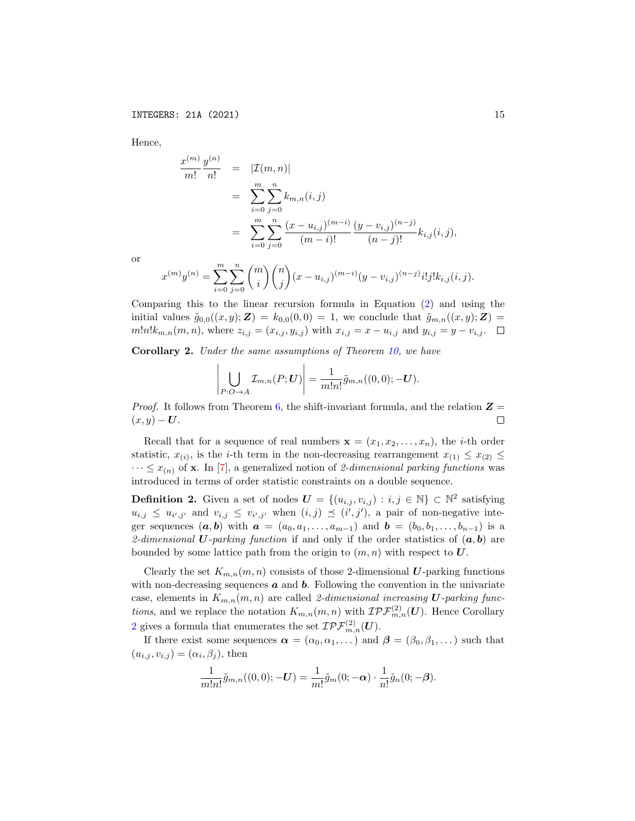Hence,

$$
\frac{x^{(m)}}{m!} \frac{y^{(n)}}{n!} = |\mathcal{I}(m, n)|
$$
  
= 
$$
\sum_{i=0}^{m} \sum_{j=0}^{n} k_{m,n}(i, j)
$$
  
= 
$$
\sum_{i=0}^{m} \sum_{j=0}^{n} \frac{(x - u_{i,j})^{(m-i)}}{(m-i)!} \frac{(y - v_{i,j})^{(n-j)}}{(n-j)!} k_{i,j}(i, j),
$$

or

$$
x^{(m)}y^{(n)} = \sum_{i=0}^{m} \sum_{j=0}^{n} {m \choose i} {n \choose j} (x - u_{i,j})^{(m-i)} (y - v_{i,j})^{(n-j)} i! j! k_{i,j} (i,j).
$$

Comparing this to the linear recursion formula in Equation [\(2\)](#page-7-2) and using the initial values  $\tilde{g}_{0,0}((x,y); \mathbf{Z}) = k_{0,0}(0,0) = 1$ , we conclude that  $\tilde{g}_{m,n}((x,y); \mathbf{Z}) =$  $m!n!k_{m,n}(m, n)$ , where  $z_{i,j} = (x_{i,j}, y_{i,j})$  with  $x_{i,j} = x - u_{i,j}$  and  $y_{i,j} = y - v_{i,j}$ .

<span id="page-14-0"></span>Corollary 2. Under the same assumptions of Theorem [10,](#page-12-0) we have

$$
\left|\bigcup_{P: O \to A} \mathcal{I}_{m,n}(P; \boldsymbol{U})\right| = \frac{1}{m!n!} \tilde{g}_{m,n}((0,0); -\boldsymbol{U}).
$$

*Proof.* It follows from Theorem [6,](#page-8-0) the shift-invariant formula, and the relation  $\mathbf{Z} =$  $(x, y) - U$ .  $\Box$ 

Recall that for a sequence of real numbers  $\mathbf{x} = (x_1, x_2, \dots, x_n)$ , the *i*-th order statistic,  $x_{(i)}$ , is the *i*-th term in the non-decreasing rearrangement  $x_{(1)} \leq x_{(2)} \leq$  $\cdots \leq x_{(n)}$  of **x**. In [\[7\]](#page-19-1), a generalized notion of 2-dimensional parking functions was introduced in terms of order statistic constraints on a double sequence.

**Definition 2.** Given a set of nodes  $\mathbf{U} = \{(u_{i,j}, v_{i,j}) : i, j \in \mathbb{N}\}\subset \mathbb{N}^2$  satisfying  $u_{i,j} \leq u_{i',j'}$  and  $v_{i,j} \leq v_{i',j'}$  when  $(i,j) \preceq (i',j')$ , a pair of non-negative integer sequences  $(a, b)$  with  $a = (a_0, a_1, \ldots, a_{m-1})$  and  $b = (b_0, b_1, \ldots, b_{n-1})$  is a 2-dimensional U-parking function if and only if the order statistics of  $(a, b)$  are bounded by some lattice path from the origin to  $(m, n)$  with respect to  $U$ .

Clearly the set  $K_{m,n}(m,n)$  consists of those 2-dimensional U-parking functions with non-decreasing sequences  $\boldsymbol{a}$  and  $\boldsymbol{b}$ . Following the convention in the univariate case, elements in  $K_{m,n}(m,n)$  are called 2-dimensional increasing U-parking functions, and we replace the notation  $K_{m,n}(m,n)$  with  $\mathcal{IPF}_{m,n}^{(2)}(\mathbf{U})$ . Hence Corollary [2](#page-14-0) gives a formula that enumerates the set  $\mathcal{IPF}_{m,n}^{(2)}(U)$ .

If there exist some sequences  $\alpha = (\alpha_0, \alpha_1, \dots)$  and  $\beta = (\beta_0, \beta_1, \dots)$  such that  $(u_{i,j}, v_{i,j}) = (\alpha_i, \beta_j)$ , then

$$
\frac{1}{m!n!}\tilde{g}_{m,n}((0,0);-U)=\frac{1}{m!}\tilde{g}_m(0;-\boldsymbol{\alpha})\cdot\frac{1}{n!}\tilde{g}_n(0;-\boldsymbol{\beta}).
$$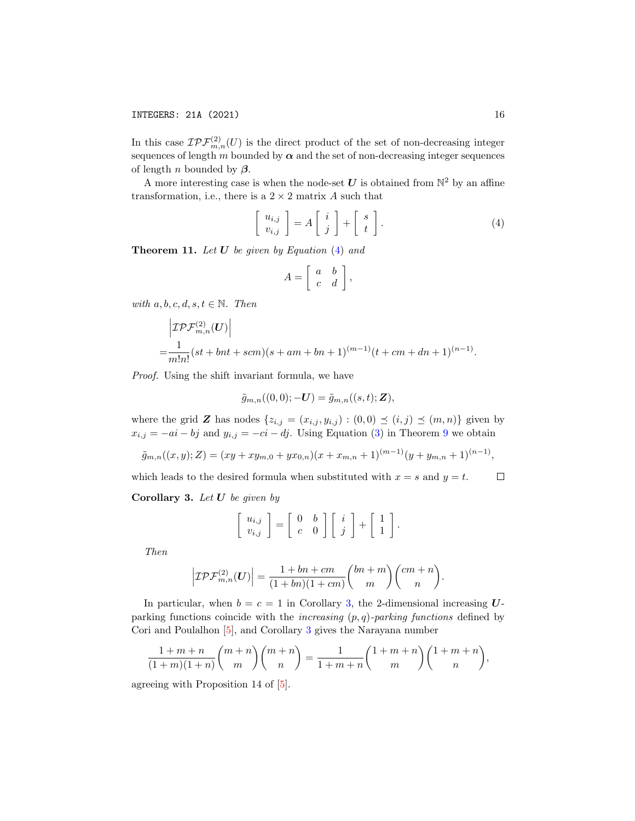In this case  $\mathcal{IPF}_{m,n}^{(2)}(U)$  is the direct product of the set of non-decreasing integer sequences of length m bounded by  $\alpha$  and the set of non-decreasing integer sequences of length *n* bounded by  $\beta$ .

A more interesting case is when the node-set  $U$  is obtained from  $\mathbb{N}^2$  by an affine transformation, i.e., there is a  $2 \times 2$  matrix A such that

<span id="page-15-0"></span>
$$
\left[\begin{array}{c}u_{i,j} \\ v_{i,j}\end{array}\right] = A \left[\begin{array}{c}i \\ j\end{array}\right] + \left[\begin{array}{c}s \\ t\end{array}\right].\tag{4}
$$

**Theorem 11.** Let  $U$  be given by Equation  $(4)$  and

$$
A = \left[ \begin{array}{cc} a & b \\ c & d \end{array} \right],
$$

with  $a, b, c, d, s, t \in \mathbb{N}$ . Then

$$
\begin{aligned}\n&\left|\mathcal{IPF}_{m,n}^{(2)}(U)\right| \\
&=\frac{1}{m!n!}(st+bnt+scm)(s+am+bn+1)^{(m-1)}(t+cm+dn+1)^{(n-1)}.\n\end{aligned}
$$

Proof. Using the shift invariant formula, we have

$$
\tilde{g}_{m,n}((0,0);-U) = \tilde{g}_{m,n}((s,t);Z),
$$

where the grid Z has nodes  $\{z_{i,j} = (x_{i,j}, y_{i,j}) : (0,0) \preceq (i,j) \preceq (m,n)\}\$  given by  $x_{i,j} = -ai - bj$  and  $y_{i,j} = -ci - dj$ . Using Equation [\(3\)](#page-10-1) in Theorem [9](#page-10-0) we obtain

$$
\tilde{g}_{m,n}((x,y);Z) = (xy + xy_{m,0} + yx_{0,n})(x + x_{m,n} + 1)^{(m-1)}(y + y_{m,n} + 1)^{(n-1)},
$$

which leads to the desired formula when substituted with  $x = s$  and  $y = t$ .  $\Box$ 

<span id="page-15-1"></span>**Corollary 3.** Let  $U$  be given by

$$
\left[\begin{array}{c}u_{i,j}\\v_{i,j}\end{array}\right]=\left[\begin{array}{cc}0&b\\c&0\end{array}\right]\left[\begin{array}{c}i\\j\end{array}\right]+\left[\begin{array}{c}1\\1\end{array}\right].
$$

Then

$$
\left| \mathcal{IPF}_{m,n}^{(2)}(\boldsymbol{U}) \right| = \frac{1 + bn + cm}{(1 + bn)(1 + cm)} {bn + m \choose m} {cm + n \choose n}.
$$

In particular, when  $b = c = 1$  in Corollary [3,](#page-15-1) the 2-dimensional increasing  $U$ parking functions coincide with the *increasing*  $(p, q)$ -parking functions defined by Cori and Poulalhon [\[5\]](#page-19-7), and Corollary [3](#page-15-1) gives the Narayana number

$$
\frac{1+m+n}{(1+m)(1+n)} \binom{m+n}{m} \binom{m+n}{n} = \frac{1}{1+m+n} \binom{1+m+n}{m} \binom{1+m+n}{n},
$$

agreeing with Proposition 14 of [\[5\]](#page-19-7).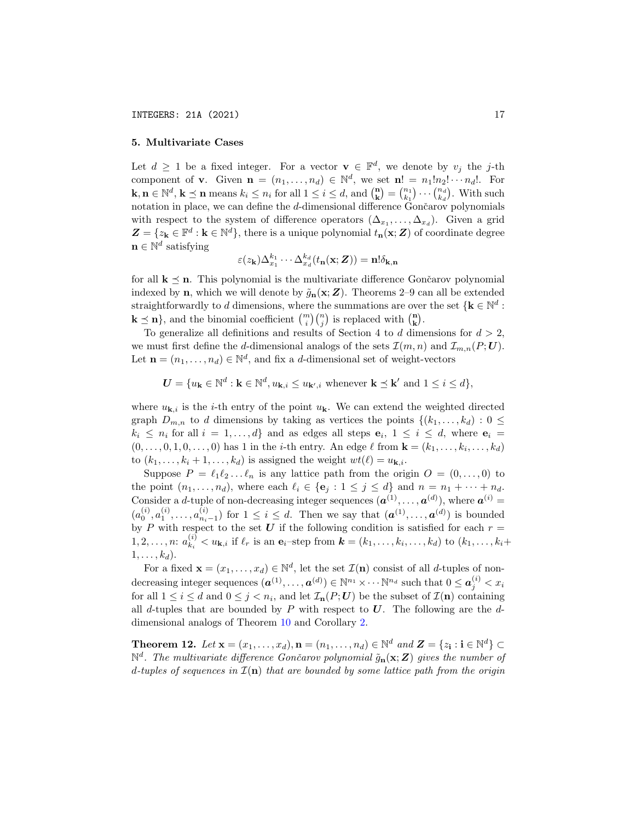## 5. Multivariate Cases

Let  $d \geq 1$  be a fixed integer. For a vector  $\mathbf{v} \in \mathbb{F}^d$ , we denote by  $v_j$  the j-th component of **v**. Given  $\mathbf{n} = (n_1, \ldots, n_d) \in \mathbb{N}^d$ , we set  $\mathbf{n}! = n_1! n_2! \cdots n_d!$ . For  $\mathbf{k}, \mathbf{n} \in \mathbb{N}^d, \mathbf{k} \preceq \mathbf{n}$  means  $k_i \leq n_i$  for all  $1 \leq i \leq d$ , and  $\binom{\mathbf{n}}{\mathbf{k}} = \binom{n_1}{k_1} \cdots \binom{n_d}{k_d}$ . With such notation in place, we can define the  $d$ -dimensional difference  $\overrightarrow{G}$ ončarov polynomials with respect to the system of difference operators  $(\Delta_{x_1}, \ldots, \Delta_{x_d})$ . Given a grid  $\mathbf{Z} = \{z_k \in \mathbb{F}^d : k \in \mathbb{N}^d\},\$  there is a unique polynomial  $t_n(\mathbf{x}; \mathbf{Z})$  of coordinate degree  $\mathbf{n} \in \mathbb{N}^d$  satisfying

$$
\varepsilon(z_{\mathbf{k}}) \Delta_{x_1}^{k_1} \cdots \Delta_{x_d}^{k_d} (t_{\mathbf{n}}(\mathbf{x};\boldsymbol{Z})) = \mathbf{n}!\delta_{\mathbf{k},\mathbf{n}}
$$

for all  $k \leq n$ . This polynomial is the multivariate difference Gončarov polynomial indexed by **n**, which we will denote by  $\tilde{g}_{n}(x; Z)$ . Theorems 2–9 can all be extended straightforwardly to d dimensions, where the summations are over the set  $\{k \in \mathbb{N}^d :$  $\mathbf{k} \preceq \mathbf{n}$ , and the binomial coefficient  $\binom{m}{i}\binom{n}{j}$  is replaced with  $\binom{\mathbf{n}}{\mathbf{k}}$ .

To generalize all definitions and results of Section 4 to d dimensions for  $d > 2$ , we must first define the d-dimensional analogs of the sets  $\mathcal{I}(m,n)$  and  $\mathcal{I}_{m,n}(P;U)$ . Let  $\mathbf{n} = (n_1, \ldots, n_d) \in \mathbb{N}^d$ , and fix a *d*-dimensional set of weight-vectors

 $\mathbf{U} = \{u_{\mathbf{k}} \in \mathbb{N}^d : \mathbf{k} \in \mathbb{N}^d, u_{\mathbf{k},i} \leq u_{\mathbf{k}',i} \text{ whenever } \mathbf{k} \preceq \mathbf{k}' \text{ and } 1 \leq i \leq d\},\$ 

where  $u_{\mathbf{k},i}$  is the *i*-th entry of the point  $u_{\mathbf{k}}$ . We can extend the weighted directed graph  $D_{m,n}$  to d dimensions by taking as vertices the points  $\{(k_1,\ldots,k_d): 0 \leq$  $k_i \leq n_i$  for all  $i = 1, \ldots, d$  and as edges all steps  $e_i$ ,  $1 \leq i \leq d$ , where  $e_i =$  $(0, \ldots, 0, 1, 0, \ldots, 0)$  has 1 in the *i*-th entry. An edge  $\ell$  from  $\mathbf{k} = (k_1, \ldots, k_i, \ldots, k_d)$ to  $(k_1, \ldots, k_i + 1, \ldots, k_d)$  is assigned the weight  $wt(\ell) = u_{\mathbf{k},i}$ .

Suppose  $P = \ell_1 \ell_2 \ldots \ell_n$  is any lattice path from the origin  $O = (0, \ldots, 0)$  to the point  $(n_1, \ldots, n_d)$ , where each  $\ell_i \in \{e_j : 1 \leq j \leq d\}$  and  $n = n_1 + \cdots + n_d$ . Consider a *d*-tuple of non-decreasing integer sequences  $(\boldsymbol{a}^{(1)}, \ldots, \boldsymbol{a}^{(d)})$ , where  $\boldsymbol{a}^{(i)}$  =  $(a_0^{(i)}, a_1^{(i)}, \ldots, a_{n_i-1}^{(i)})$  for  $1 \leq i \leq d$ . Then we say that  $(a^{(1)}, \ldots, a^{(d)})$  is bounded by P with respect to the set U if the following condition is satisfied for each  $r =$  $1, 2, \ldots, n: a_{k}^{(i)}$  $k_k^{(i)} < u_{\mathbf{k},i}$  if  $\ell_r$  is an  $\mathbf{e}_i$ -step from  $\mathbf{k} = (k_1, \ldots, k_i, \ldots, k_d)$  to  $(k_1, \ldots, k_i +$  $1, \ldots, k_d$ ).

For a fixed  $\mathbf{x} = (x_1, \dots, x_d) \in \mathbb{N}^d$ , let the set  $\mathcal{I}(\mathbf{n})$  consist of all d-tuples of non- $\text{decreasing integer sequences } (\boldsymbol{a}^{(1)}, \dots, \boldsymbol{a}^{(d)}) \in \mathbb{N}^{n_1} \times \cdots \mathbb{N}^{n_d} \text{ such that } 0 \leq \boldsymbol{a}_j^{(i)} < x_i$ for all  $1 \leq i \leq d$  and  $0 \leq j < n_i$ , and let  $\mathcal{I}_{n}(P; U)$  be the subset of  $\mathcal{I}(n)$  containing all d-tuples that are bounded by P with respect to  $\boldsymbol{U}$ . The following are the ddimensional analogs of Theorem [10](#page-12-0) and Corollary [2.](#page-14-0)

<span id="page-16-0"></span>**Theorem 12.** Let  $\mathbf{x} = (x_1, \ldots, x_d), \mathbf{n} = (n_1, \ldots, n_d) \in \mathbb{N}^d$  and  $\mathbf{Z} = \{z_i : i \in \mathbb{N}^d\} \subset$  $\mathbb{N}^d$ . The multivariate difference Gončarov polynomial  $\tilde{g}_{\bf n}({\bf x}; {\bf Z})$  gives the number of d-tuples of sequences in  $\mathcal{I}(n)$  that are bounded by some lattice path from the origin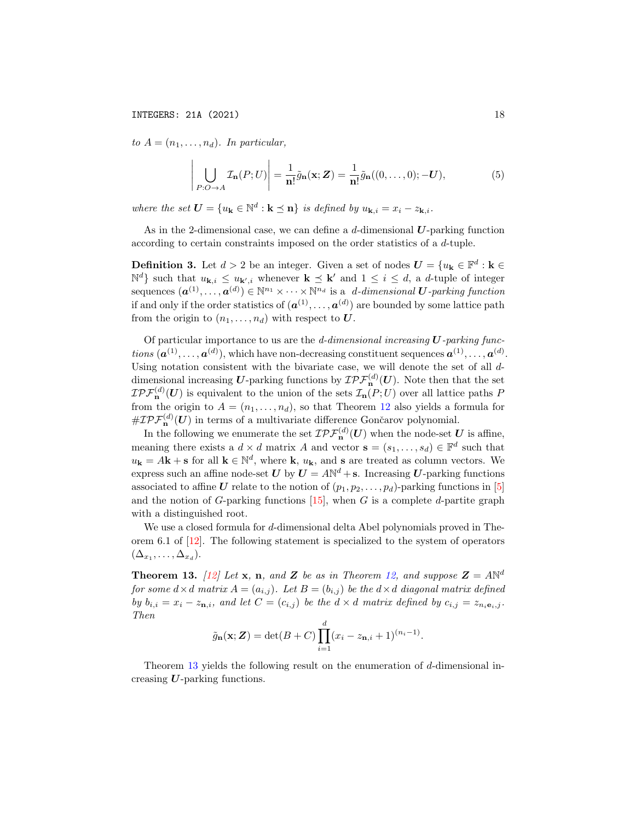to  $A = (n_1, \ldots, n_d)$ . In particular,

$$
\left| \bigcup_{P:O \to A} \mathcal{I}_{\mathbf{n}}(P;U) \right| = \frac{1}{\mathbf{n}!} \tilde{g}_{\mathbf{n}}(\mathbf{x}; \mathbf{Z}) = \frac{1}{\mathbf{n}!} \tilde{g}_{\mathbf{n}}((0,\dots,0); -\mathbf{U}),\tag{5}
$$

where the set  $\mathbf{U} = \{u_{\mathbf{k}} \in \mathbb{N}^d : \mathbf{k} \preceq \mathbf{n}\}\$ is defined by  $u_{\mathbf{k},i} = x_i - z_{\mathbf{k},i}$ .

As in the 2-dimensional case, we can define a d-dimensional  $U$ -parking function according to certain constraints imposed on the order statistics of a d-tuple.

**Definition 3.** Let  $d > 2$  be an integer. Given a set of nodes  $U = \{u_k \in \mathbb{F}^d : k \in \mathbb{R}^d\}$  $\mathbb{N}^d$  such that  $u_{\mathbf{k},i} \leq u_{\mathbf{k}',i}$  whenever  $\mathbf{k} \preceq \mathbf{k}'$  and  $1 \leq i \leq d$ , a *d*-tuple of integer sequences  $(\boldsymbol{a}^{(1)},\ldots,\boldsymbol{a}^{(d)})\in\mathbb{N}^{n_1}\times\cdots\times\mathbb{N}^{n_d}$  is a d-dimensional  $\boldsymbol{U}$ -parking function if and only if the order statistics of  $(a^{(1)}, \ldots, a^{(d)})$  are bounded by some lattice path from the origin to  $(n_1, \ldots, n_d)$  with respect to U.

Of particular importance to us are the  $d$ -dimensional increasing  $U$ -parking functions  $(a^{(1)}, \ldots, a^{(d)})$ , which have non-decreasing constituent sequences  $a^{(1)}, \ldots, a^{(d)}$ . Using notation consistent with the bivariate case, we will denote the set of all ddimensional increasing U-parking functions by  $\mathcal{IPF}_{\mathbf{n}}^{(d)}(U)$ . Note then that the set  $\mathcal{IPF}_{\mathbf{n}}^{(d)}(\mathbf{U})$  is equivalent to the union of the sets  $\mathcal{I}_{\mathbf{n}}(P;U)$  over all lattice paths P from the origin to  $A = (n_1, \ldots, n_d)$ , so that Theorem [12](#page-16-0) also yields a formula for  $\# \mathcal{IPF}_{\mathbf{n}}^{(d)}(\boldsymbol{U})$  in terms of a multivariate difference Gončarov polynomial.

In the following we enumerate the set  $\mathcal{IPF}_{\mathbf{n}}^{(d)}(U)$  when the node-set  $U$  is affine, meaning there exists a  $d \times d$  matrix A and vector  $\mathbf{s} = (s_1, \dots, s_d) \in \mathbb{F}^d$  such that  $u_{\mathbf{k}} = A\mathbf{k} + \mathbf{s}$  for all  $\mathbf{k} \in \mathbb{N}^d$ , where  $\mathbf{k}, u_{\mathbf{k}}$ , and s are treated as column vectors. We express such an affine node-set  $U$  by  $U = A\mathbb{N}^d + \mathbf{s}$ . Increasing U-parking functions associated to affine U relate to the notion of  $(p_1, p_2, \ldots, p_d)$ -parking functions in [\[5\]](#page-19-7) and the notion of G-parking functions  $[15]$ , when G is a complete d-partite graph with a distinguished root.

We use a closed formula for d-dimensional delta Abel polynomials proved in Theorem 6.1 of [\[12\]](#page-20-3). The following statement is specialized to the system of operators  $(\Delta_{x_1}, \ldots, \Delta_{x_d}).$ 

<span id="page-17-0"></span>**Theorem 13.** [\[12\]](#page-20-3) Let **x**, **n**, and **Z** be as in Theorem [12,](#page-16-0) and suppose  $\mathbf{Z} = A\mathbb{N}^d$ for some  $d \times d$  matrix  $A = (a_{i,j})$ . Let  $B = (b_{i,j})$  be the  $d \times d$  diagonal matrix defined by  $b_{i,i} = x_i - z_{n,i}$ , and let  $C = (c_{i,j})$  be the  $d \times d$  matrix defined by  $c_{i,j} = z_{n_i \mathbf{e}_i,j}$ . Then

$$
\tilde{g}_{\mathbf{n}}(\mathbf{x}; \mathbf{Z}) = \det(B+C) \prod_{i=1}^{d} (x_i - z_{\mathbf{n},i} + 1)^{(n_i - 1)}.
$$

Theorem [13](#page-17-0) yields the following result on the enumeration of d-dimensional increasing  $U$ -parking functions.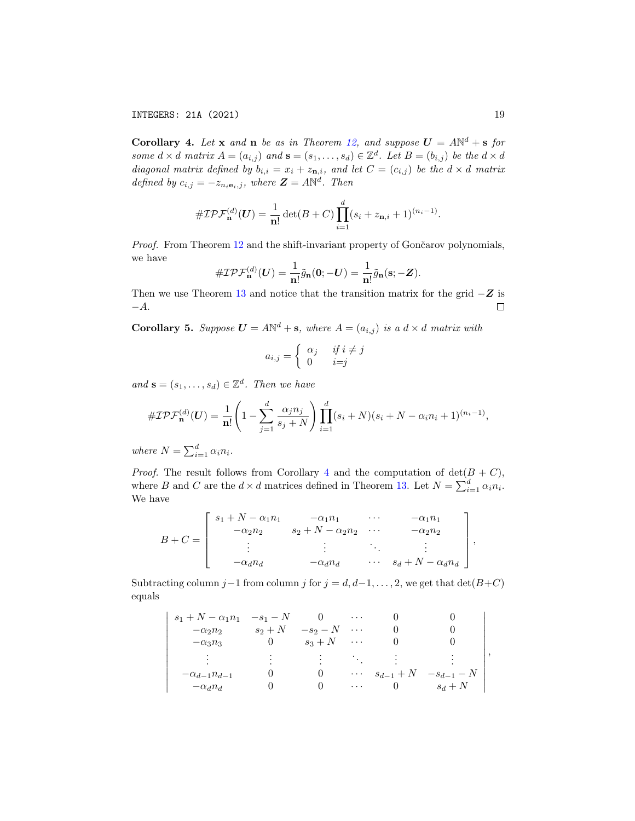INTEGERS: 21A (2021) 19

<span id="page-18-0"></span>**Corollary 4.** Let **x** and **n** be as in Theorem [12,](#page-16-0) and suppose  $U = A N^d + s$  for some  $d \times d$  matrix  $A = (a_{i,j})$  and  $\mathbf{s} = (s_1, \ldots, s_d) \in \mathbb{Z}^d$ . Let  $B = (b_{i,j})$  be the  $d \times d$ diagonal matrix defined by  $b_{i,i} = x_i + z_{n,i}$ , and let  $C = (c_{i,j})$  be the  $d \times d$  matrix defined by  $c_{i,j} = -z_{n_i \mathbf{e}_i,j}$ , where  $\mathbf{Z} = A\mathbb{N}^d$ . Then

$$
\#\mathcal{IPF}_{\mathbf{n}}^{(d)}(\boldsymbol{U}) = \frac{1}{\mathbf{n}!} \det(B+C) \prod_{i=1}^{d} (s_i + z_{\mathbf{n},i} + 1)^{(n_i-1)}.
$$

Proof. From Theorem [12](#page-16-0) and the shift-invariant property of Gončarov polynomials, we have

$$
\#\mathcal{IPF}_{\mathbf{n}}^{(d)}(\boldsymbol{U})=\frac{1}{\mathbf{n}!}\tilde{g}_{\mathbf{n}}(\mathbf{0};-\boldsymbol{U})=\frac{1}{\mathbf{n}!}\tilde{g}_{\mathbf{n}}(\mathbf{s};-\mathbf{Z}).
$$

Then we use Theorem [13](#page-17-0) and notice that the transition matrix for the grid  $-Z$  is  $-A.$  $\Box$ 

<span id="page-18-1"></span>**Corollary 5.** Suppose  $U = A\mathbb{N}^d + s$ , where  $A = (a_{i,j})$  is a  $d \times d$  matrix with

$$
a_{i,j} = \begin{cases} \alpha_j & \text{if } i \neq j \\ 0 & i = j \end{cases}
$$

and  $\mathbf{s} = (s_1, \ldots, s_d) \in \mathbb{Z}^d$ . Then we have

$$
\#\mathcal{IPF}_{\mathbf{n}}^{(d)}(\mathbf{U}) = \frac{1}{\mathbf{n}!} \left(1 - \sum_{j=1}^{d} \frac{\alpha_j n_j}{s_j + N}\right) \prod_{i=1}^{d} (s_i + N)(s_i + N - \alpha_i n_i + 1)^{(n_i - 1)},
$$

where  $N = \sum_{i=1}^{d} \alpha_i n_i$ .

 $\overline{\phantom{a}}$  $\overline{\phantom{a}}$  $\overline{\phantom{a}}$  $\overline{\phantom{a}}$ I  $\overline{\phantom{a}}$  $\overline{\phantom{a}}$  $\overline{\phantom{a}}$  $\overline{\phantom{a}}$  $\overline{\phantom{a}}$  $\overline{\phantom{a}}$  $\overline{\phantom{a}}$  $\mid$ 

*Proof.* The result follows from Corollary [4](#page-18-0) and the computation of  $det(B+C)$ , where B and C are the  $d \times d$  matrices defined in Theorem [13.](#page-17-0) Let  $N = \sum_{i=1}^{d} \alpha_i n_i$ . We have

$$
B + C = \begin{bmatrix} s_1 + N - \alpha_1 n_1 & -\alpha_1 n_1 & \cdots & -\alpha_1 n_1 \\ -\alpha_2 n_2 & s_2 + N - \alpha_2 n_2 & \cdots & -\alpha_2 n_2 \\ \vdots & \vdots & \ddots & \vdots \\ -\alpha_d n_d & -\alpha_d n_d & \cdots & s_d + N - \alpha_d n_d \end{bmatrix},
$$

Subtracting column j–1 from column j for  $j = d, d-1, \ldots, 2$ , we get that  $\det(B+C)$ equals

$$
s_{1} + N - \alpha_{1}n_{1} - s_{1} - N \qquad 0 \qquad \cdots \qquad 0 \qquad 0
$$
  
\n
$$
-\alpha_{2}n_{2} \qquad s_{2} + N \qquad -s_{2} - N \qquad \cdots \qquad 0 \qquad 0
$$
  
\n
$$
-\alpha_{3}n_{3} \qquad 0 \qquad s_{3} + N \qquad \cdots \qquad 0 \qquad 0
$$
  
\n
$$
\vdots \qquad \vdots \qquad \vdots \qquad \ddots \qquad \vdots \qquad \vdots
$$
  
\n
$$
-\alpha_{d-1}n_{d-1} \qquad 0 \qquad 0 \qquad \cdots \qquad s_{d-1} + N \qquad -s_{d-1} - N
$$
  
\n
$$
-\alpha_{d}n_{d} \qquad 0 \qquad 0 \qquad \cdots \qquad 0 \qquad s_{d} + N
$$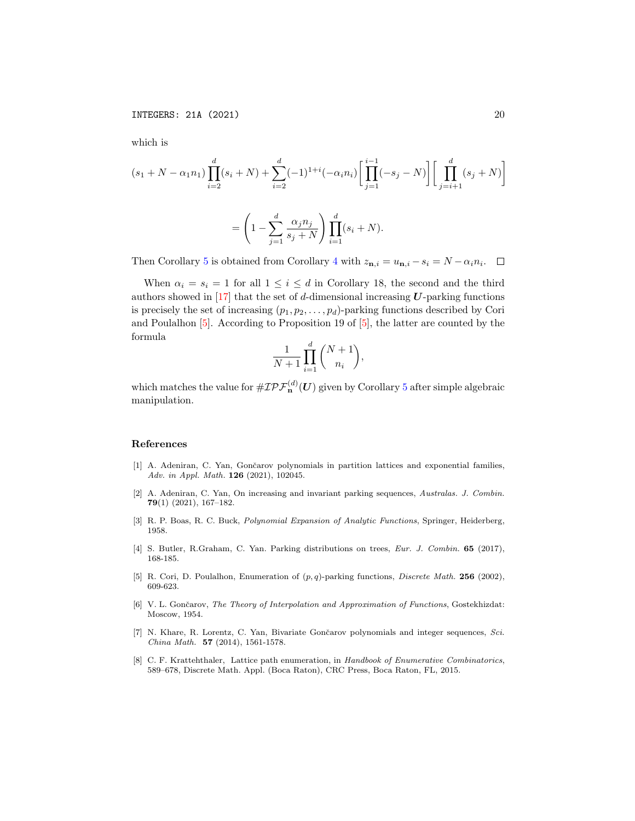which is

$$
(s_1 + N - \alpha_1 n_1) \prod_{i=2}^d (s_i + N) + \sum_{i=2}^d (-1)^{1+i} (-\alpha_i n_i) \left[ \prod_{j=1}^{i-1} (-s_j - N) \right] \left[ \prod_{j=i+1}^d (s_j + N) \right]
$$

$$
= \left( 1 - \sum_{j=1}^d \frac{\alpha_j n_j}{s_j + N} \right) \prod_{i=1}^d (s_i + N).
$$

Then Corollary [5](#page-18-1) is obtained from Corollary [4](#page-18-0) with  $z_{n,i} = u_{n,i} - s_i = N - \alpha_i n_i$ .  $\Box$ 

When  $\alpha_i = s_i = 1$  for all  $1 \leq i \leq d$  in Corollary 18, the second and the third authors showed in  $[17]$  that the set of d-dimensional increasing  $U$ -parking functions is precisely the set of increasing  $(p_1, p_2, \ldots, p_d)$ -parking functions described by Cori and Poulalhon [\[5\]](#page-19-7). According to Proposition 19 of [\[5\]](#page-19-7), the latter are counted by the formula

$$
\frac{1}{N+1} \prod_{i=1}^d \binom{N+1}{n_i},
$$

which matches the value for  $\#\mathcal{IPF}_\mathbf{n}^{(d)}(\bm{U})$  given by Corollary  $5$  after simple algebraic manipulation.

## References

- <span id="page-19-2"></span>[1] A. Adeniran, C. Yan, Gončarov polynomials in partition lattices and exponential families, Adv. in Appl. Math. **126** (2021), 102045.
- <span id="page-19-6"></span>[2] A. Adeniran, C. Yan, On increasing and invariant parking sequences, Australas. J. Combin. 79(1) (2021), 167–182.
- <span id="page-19-3"></span>[3] R. P. Boas, R. C. Buck, Polynomial Expansion of Analytic Functions, Springer, Heiderberg, 1958.
- <span id="page-19-5"></span>[4] S. Butler, R.Graham, C. Yan. Parking distributions on trees, Eur. J. Combin. 65 (2017), 168-185.
- <span id="page-19-7"></span>[5] R. Cori, D. Poulalhon, Enumeration of  $(p, q)$ -parking functions, *Discrete Math.* 256 (2002), 609-623.
- <span id="page-19-0"></span>[6] V. L. Gončarov, The Theory of Interpolation and Approximation of Functions, Gostekhizdat: Moscow, 1954.
- <span id="page-19-1"></span>[7] N. Khare, R. Lorentz, C. Yan, Bivariate Gončarov polynomials and integer sequences, Sci. China Math. 57 (2014), 1561-1578.
- <span id="page-19-4"></span>[8] C. F. Krattehthaler, Lattice path enumeration, in Handbook of Enumerative Combinatorics, 589–678, Discrete Math. Appl. (Boca Raton), CRC Press, Boca Raton, FL, 2015.